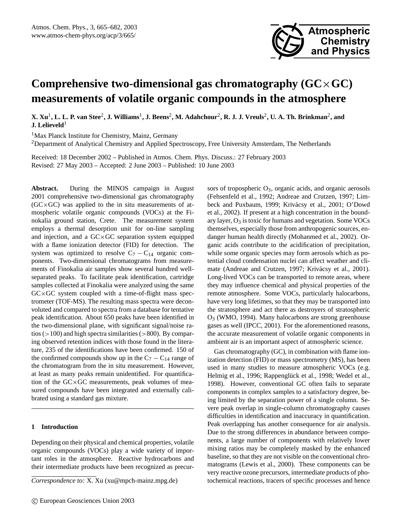

# **Comprehensive two-dimensional gas chromatography (GC**×**GC) measurements of volatile organic compounds in the atmosphere**

 $\bf{X.~Xu^1, L.~L.~P.}$  van Stee<sup>2</sup>, J. Williams<sup>1</sup>, J. Beens<sup>2</sup>, M. Adahchour<sup>2</sup>, R. J. J. Vreuls<sup>2</sup>, U. A. Th. Brinkman<sup>2</sup>, and **J.** Lelieveld<sup>1</sup>

<sup>1</sup>Max Planck Institute for Chemistry, Mainz, Germany

<sup>2</sup>Department of Analytical Chemistry and Applied Spectroscopy, Free University Amsterdam, The Netherlands

Received: 18 December 2002 – Published in Atmos. Chem. Phys. Discuss.: 27 February 2003 Revised: 27 May 2003 – Accepted: 2 June 2003 – Published: 10 June 2003

**Abstract.** During the MINOS campaign in August 2001 comprehensive two-dimensional gas chromatography  $(GC \times GC)$  was applied to the in situ measurements of atmospheric volatile organic compounds (VOCs) at the Finokalia ground station, Crete. The measurement system employs a thermal desorption unit for on-line sampling and injection, and a  $G C \times G C$  separation system equipped with a flame ionization detector (FID) for detection. The system was optimized to resolve  $C_7 - C_{14}$  organic components. Two-dimensional chromatograms from measurements of Finokalia air samples show several hundred wellseparated peaks. To facilitate peak identification, cartridge samples collected at Finokalia were analyzed using the same  $GC \times GC$  system coupled with a time-of-flight mass spectrometer (TOF-MS). The resulting mass spectra were deconvoluted and compared to spectra from a database for tentative peak identification. About 650 peaks have been identified in the two-dimensional plane, with significant signal/noise ratios ( $>100$ ) and high spectra similarities ( $>800$ ). By comparing observed retention indices with those found in the literature, 235 of the identifications have been confirmed. 150 of the confirmed compounds show up in the  $C_7 - C_{14}$  range of the chromatogram from the in situ measurement. However, at least as many peaks remain unidentified. For quantification of the GC×GC measurements, peak volumes of measured compounds have been integrated and externally calibrated using a standard gas mixture.

# **1 Introduction**

Depending on their physical and chemical properties, volatile organic compounds (VOCs) play a wide variety of important roles in the atmosphere. Reactive hydrocarbons and their intermediate products have been recognized as precursors of tropospheric  $O_3$ , organic acids, and organic aerosols (Fehsenfeld et al., 1992; Andreae and Crutzen, 1997; Limbeck and Puxbaum, 1999; Krivácsy et al., 2001; O'Dowd et al., 2002). If present at a high concentration in the boundary layer,  $O_3$  is toxic for humans and vegetation. Some VOCs themselves, especially those from anthropogenic sources, endanger human health directly (Mohanmed et al., 2002). Organic acids contribute to the acidification of precipitation, while some organic species may form aerosols which as potential cloud condensation nuclei can affect weather and climate (Andreae and Crutzen, 1997; Krivácsy et al., 2001). Long-lived VOCs can be transported to remote areas, where they may influence chemical and physical properties of the remote atmosphere. Some VOCs, particularly halocarbons, have very long lifetimes, so that they may be transported into the stratosphere and act there as destroyers of stratospheric O<sup>3</sup> (WMO, 1994). Many halocarbons are strong greenhouse gases as well (IPCC, 2001). For the aforementioned reasons, the accurate measurement of volatile organic components in ambient air is an important aspect of atmospheric science.

Gas chromatography (GC), in combination with flame ionization detection (FID) or mass spectrometry (MS), has been used in many studies to measure atmospheric VOCs (e.g. Helmig et al., 1996; Rappenglück et al., 1998; Wedel et al., 1998). However, conventional GC often fails to separate components in complex samples to a satisfactory degree, being limited by the separation power of a single column. Severe peak overlap in single-column chromatography causes difficulties in identification and inaccuracy in quantification. Peak overlapping has another consequence for air analysis. Due to the strong differences in abundance between components, a large number of components with relatively lower mixing ratios may be completely masked by the enhanced baseline, so that they are not visible on the conventional chromatograms (Lewis et al., 2000). These components can be very reactive ozone precursors, intermediate products of photochemical reactions, tracers of specific processes and hence

*Correspondence to:* X. Xu (xu@mpch-mainz.mpg.de)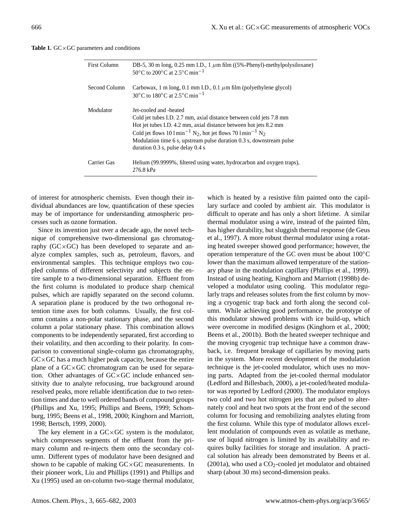| <b>First Column</b> | DB-5, 30 m long, 0.25 mm I.D., 1 $\mu$ m film ((5%-Phenyl)-methylpolysiloxane)<br>$50^{\circ}$ C to 200 $^{\circ}$ C at 2.5 $^{\circ}$ C min <sup>-1</sup>                                                                                                                                                                                                                                        |
|---------------------|---------------------------------------------------------------------------------------------------------------------------------------------------------------------------------------------------------------------------------------------------------------------------------------------------------------------------------------------------------------------------------------------------|
| Second Column       | Carbowax, 1 m long, 0.1 mm I.D., 0.1 $\mu$ m film (polyethylene glycol)<br>30 $^{\circ}$ C to 180 $^{\circ}$ C at 2.5 $^{\circ}$ C min <sup>-1</sup>                                                                                                                                                                                                                                              |
| Modulator           | Jet-cooled and -heated<br>Cold jet tubes I.D. 2.7 mm, axial distance between cold jets 7.8 mm<br>Hot jet tubes I.D. 4.2 mm, axial distance between hot jets 8.2 mm<br>Cold jet flows 10 $\text{I min}^{-1}$ N <sub>2</sub> , hot jet flows 70 $\text{I min}^{-1}$ N <sub>2</sub><br>Modulation time 6 s, upstream pulse duration 0.3 s, downstream pulse<br>duration $0.3$ s, pulse delay $0.4$ s |
| Carrier Gas         | Helium (99.9999%, filtered using water, hydrocarbon and oxygen traps),<br>276.8 kPa                                                                                                                                                                                                                                                                                                               |

## Table 1. GC×GC parameters and conditions

of interest for atmospheric chemists. Even though their individual abundances are low, quantification of these species may be of importance for understanding atmospheric processes such as ozone formation.

Since its invention just over a decade ago, the novel technique of comprehensive two-dimensional gas chromatography  $(GC \times GC)$  has been developed to separate and analyze complex samples, such as, petroleum, flavors, and environmental samples. This technique employs two coupled columns of different selectivity and subjects the entire sample to a two-dimensional separation. Effluent from the first column is modulated to produce sharp chemical pulses, which are rapidly separated on the second column. A separation plane is produced by the two orthogonal retention time axes for both columns. Usually, the first column contains a non-polar stationary phase, and the second column a polar stationary phase. This combination allows components to be independently separated, first according to their volatility, and then according to their polarity. In comparison to conventional single-column gas chromatography,  $GC \times GC$  has a much higher peak capacity, because the entire plane of a GC×GC chromatogram can be used for separation. Other advantages of  $GC \times GC$  include enhanced sensitivity due to analyte refocusing, true background around resolved peaks, more reliable identification due to two retention times and due to well ordered bands of compound groups (Phillips and Xu, 1995; Phillips and Beens, 1999; Schomburg, 1995; Beens et al., 1998, 2000; Kinghorn and Marriott, 1998; Bertsch, 1999, 2000).

The key element in a  $G C \times G C$  system is the modulator, which compresses segments of the effluent from the primary column and re-injects them onto the secondary column. Different types of modulator have been designed and shown to be capable of making GC×GC measurements. In their pioneer work, Liu and Phillips (1991) and Phillips and Xu (1995) used an on-column two-stage thermal modulator,

which is heated by a resistive film painted onto the capillary surface and cooled by ambient air. This modulator is difficult to operate and has only a short lifetime. A similar thermal modulator using a wire, instead of the painted film, has higher durability, but sluggish thermal response (de Geus et al., 1997). A more robust thermal modulator using a rotating heated sweeper showed good performance; however, the operation temperature of the GC oven must be about 100◦C lower than the maximum allowed temperature of the stationary phase in the modulation capillary (Phillips et al., 1999). Instead of using heating, Kinghorn and Marriott (1998b) developed a modulator using cooling. This modulator regularly traps and releases solutes from the first column by moving a cryogenic trap back and forth along the second column. While achieving good performance, the prototype of this modulator showed problems with ice build-up, which were overcome in modified designs (Kinghorn et al., 2000; Beens et al., 2001b). Both the heated sweeper technique and the moving cryogenic trap technique have a common drawback, i.e. frequent breakage of capillaries by moving parts in the system. More recent development of the modulation technique is the jet-cooled modulator, which uses no moving parts. Adapted from the jet-cooled thermal modulator (Ledford and Billesbach, 2000), a jet-cooled/heated modulator was reported by Ledford (2000). The modulator employs two cold and two hot nitrogen jets that are pulsed to alternately cool and heat two spots at the front end of the second column for focusing and remobilizing analytes eluting from the first column. While this type of modulator allows excellent modulation of compounds even as volatile as methane, use of liquid nitrogen is limited by its availability and requires bulky facilities for storage and insulation. A practical solution has already been demonstrated by Beens et al.  $(2001a)$ , who used a CO<sub>2</sub>-cooled jet modulator and obtained sharp (about 30 ms) second-dimension peaks.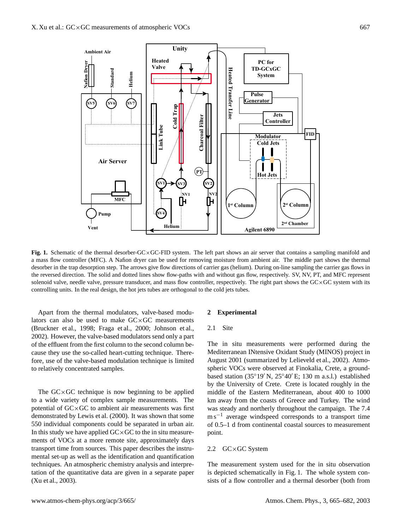

**Fig. 1.** Schematic of the thermal desorber-GC×GC-FID system. The left part shows an air server that contains a sampling manifold and a mass flow controller (MFC). A Nafion dryer can be used for removing moisture from ambient air. The middle part shows the thermal desorber in the trap desorption step. The arrows give flow directions of carrier gas (helium). During on-line sampling the carrier gas flows in the reversed direction. The solid and dotted lines show flow-paths with and without gas flow, respectively. SV, NV, PT, and MFC represent solenoid valve, needle valve, pressure transducer, and mass flow controller, respectively. The right part shows the  $GcxGC$  system with its controlling units. In the real design, the hot jets tubes are orthogonal to the cold jets tubes.

Apart from the thermal modulators, valve-based modulators can also be used to make GC×GC measurements (Bruckner et al., 1998; Fraga et al., 2000; Johnson et al., 2002). However, the valve-based modulators send only a part of the effluent from the first column to the second column because they use the so-called heart-cutting technique. Therefore, use of the valve-based modulation technique is limited to relatively concentrated samples.

The  $G C \times G C$  technique is now beginning to be applied to a wide variety of complex sample measurements. The potential of GC×GC to ambient air measurements was first demonstrated by Lewis et al. (2000). It was shown that some 550 individual components could be separated in urban air. In this study we have applied  $GC \times GC$  to the in situ measurements of VOCs at a more remote site, approximately days transport time from sources. This paper describes the instrumental set-up as well as the identification and quantification techniques. An atmospheric chemistry analysis and interpretation of the quantitative data are given in a separate paper (Xu et al., 2003).

#### **2 Experimental**

#### 2.1 Site

The in situ measurements were performed during the Mediterranean INtensive Oxidant Study (MINOS) project in August 2001 (summarized by Lelieveld et al., 2002). Atmospheric VOCs were observed at Finokalia, Crete, a groundbased station  $(35°19' N, 25°40' E; 130 m a.s.l.)$  established by the University of Crete. Crete is located roughly in the middle of the Eastern Mediterranean, about 400 to 1000 km away from the coasts of Greece and Turkey. The wind was steady and northerly throughout the campaign. The 7.4 m s<sup>-1</sup> average windspeed corresponds to a transport time of 0.5–1 d from continental coastal sources to measurement point.

# 2.2 GC×GC System

The measurement system used for the in situ observation is depicted schematically in Fig. 1. The whole system consists of a flow controller and a thermal desorber (both from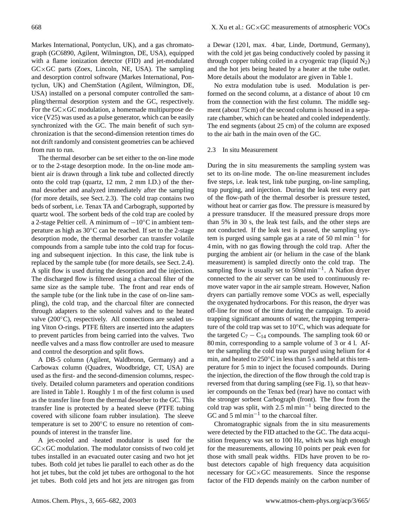Markes International, Pontyclun, UK), and a gas chromatograph (GC6890, Agilent, Wilmington, DE, USA), equipped with a flame ionization detector (FID) and jet-modulated  $GC \times GC$  parts (Zoex, Lincoln, NE, USA). The sampling and desorption control software (Markes International, Pontyclun, UK) and ChemStation (Agilent, Wilmington, DE, USA) installed on a personal computer controlled the sampling/thermal desorption system and the GC, respectively. For the  $G C \times G C$  modulation, a homemade multipurpose device (V25) was used as a pulse generator, which can be easily synchronized with the GC. The main benefit of such synchronization is that the second-dimension retention times do not drift randomly and consistent geometries can be achieved from run to run.

The thermal desorber can be set either to the on-line mode or to the 2-stage desorption mode. In the on-line mode ambient air is drawn through a link tube and collected directly onto the cold trap (quartz, 12 mm, 2 mm I.D.) of the thermal desorber and analyzed immediately after the sampling (for more details, see Sect. 2.3). The cold trap contains two beds of sorbent, i.e. Tenax TA and Carbograph, supported by quartz wool. The sorbent beds of the cold trap are cooled by a 2-stage Peltier cell. A minimum of −10◦C in ambient temperature as high as 30◦C can be reached. If set to the 2-stage desorption mode, the thermal desorber can transfer volatile compounds from a sample tube into the cold trap for focusing and subsequent injection. In this case, the link tube is replaced by the sample tube (for more details, see Sect. 2.4). A split flow is used during the desorption and the injection. The discharged flow is filtered using a charcoal filter of the same size as the sample tube. The front and rear ends of the sample tube (or the link tube in the case of on-line sampling), the cold trap, and the charcoal filter are connected through adapters to the solenoid valves and to the heated valve (200 $\degree$ C), respectively. All connections are sealed using Viton O-rings. PTFE filters are inserted into the adapters to prevent particles from being carried into the valves. Two needle valves and a mass flow controller are used to measure and control the desorption and split flows.

A DB-5 column (Agilent, Waldbronn, Germany) and a Carbowax column (Quadrex, Woodbridge, CT, USA) are used as the first- and the second-dimension columns, respectively. Detailed column parameters and operation conditions are listed in Table 1. Roughly 1 m of the first column is used as the transfer line from the thermal desorber to the GC. This transfer line is protected by a heated sleeve (PTFE tubing covered with silicone foam rubber insulation). The sleeve temperature is set to 200◦C to ensure no retention of compounds of interest in the transfer line.

A jet-cooled and -heated modulator is used for the  $GC \times GC$  modulation. The modulator consists of two cold jet tubes installed in an evacuated outer casing and two hot jet tubes. Both cold jet tubes lie parallel to each other as do the hot jet tubes, but the cold jet tubes are orthogonal to the hot jet tubes. Both cold jets and hot jets are nitrogen gas from a Dewar (120 l, max. 4 bar, Linde, Dortmund, Germany), with the cold jet gas being conductively cooled by passing it through copper tubing coiled in a cryogenic trap (liquid  $N_2$ ) and the hot jets being heated by a heater at the tube outlet. More details about the modulator are given in Table 1.

No extra modulation tube is used. Modulation is performed on the second column, at a distance of about 10 cm from the connection with the first column. The middle segment (about 75cm) of the second column is housed in a separate chamber, which can be heated and cooled independently. The end segments (about 25 cm) of the column are exposed to the air bath in the main oven of the GC.

#### 2.3 In situ Measurement

During the in situ measurements the sampling system was set to its on-line mode. The on-line measurement includes five steps, i.e. leak test, link tube purging, on-line sampling, trap purging, and injection. During the leak test every part of the flow-path of the thermal desorber is pressure tested, without heat or carrier gas flow. The pressure is measured by a pressure transducer. If the measured pressure drops more than 5% in 30 s, the leak test fails, and the other steps are not conducted. If the leak test is passed, the sampling system is purged using sample gas at a rate of 50 ml min−<sup>1</sup> for 4 min, with no gas flowing through the cold trap. After the purging the ambient air (or helium in the case of the blank measurement) is sampled directly onto the cold trap. The sampling flow is usually set to 50ml min<sup>-1</sup>. A Nafion dryer connected to the air server can be used to continuously remove water vapor in the air sample stream. However, Nafion dryers can partially remove some VOCs as well, especially the oxygenated hydrocarbons. For this reason, the dryer was off-line for most of the time during the campaign. To avoid trapping significant amounts of water, the trapping temperature of the cold trap was set to 10◦C, which was adequate for the targeted  $C_7 - C_{14}$  compounds. The sampling took 60 or 80 min, corresponding to a sample volume of 3 or 4 l. After the sampling the cold trap was purged using helium for 4 min, and heated to 250◦C in less than 5 s and held at this temperature for 5 min to inject the focused compounds. During the injection, the direction of the flow through the cold trap is reversed from that during sampling (see Fig. 1), so that heavier compounds on the Tenax bed (rear) have no contact with the stronger sorbent Carbograph (front). The flow from the cold trap was split, with 2.5 ml min<sup>-1</sup> being directed to the GC and  $5 \text{ ml min}^{-1}$  to the charcoal filter.

Chromatographic signals from the in situ measurements were detected by the FID attached to the GC. The data acquisition frequency was set to 100 Hz, which was high enough for the measurements, allowing 10 points per peak even for those with small peak widths. FIDs have proven to be robust detectors capable of high frequency data acquisition necessary for GC×GC measurements. Since the response factor of the FID depends mainly on the carbon number of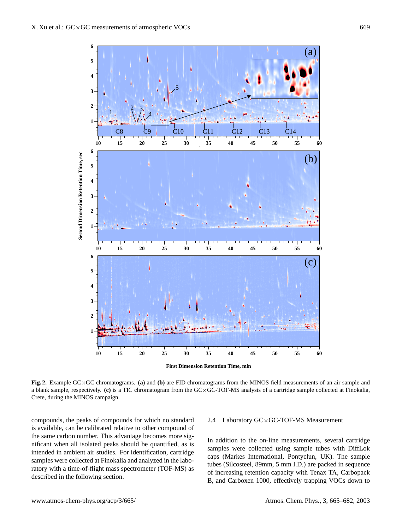

**Fig. 2.** Example GC×GC chromatograms. **(a)** and **(b)** are FID chromatograms from the MINOS field measurements of an air sample and a blank sample, respectively. **(c)** is a TIC chromatogram from the GC×GC-TOF-MS analysis of a cartridge sample collected at Finokalia, Crete, during the MINOS campaign.

compounds, the peaks of compounds for which no standard is available, can be calibrated relative to other compound of the same carbon number. This advantage becomes more significant when all isolated peaks should be quantified, as is intended in ambient air studies. For identification, cartridge samples were collected at Finokalia and analyzed in the laboratory with a time-of-flight mass spectrometer (TOF-MS) as described in the following section.

# 2.4 Laboratory GC×GC-TOF-MS Measurement

In addition to the on-line measurements, several cartridge samples were collected using sample tubes with DiffLok caps (Markes International, Pontyclun, UK). The sample tubes (Silcosteel, 89mm, 5 mm I.D.) are packed in sequence of increasing retention capacity with Tenax TA, Carbopack B, and Carboxen 1000, effectively trapping VOCs down to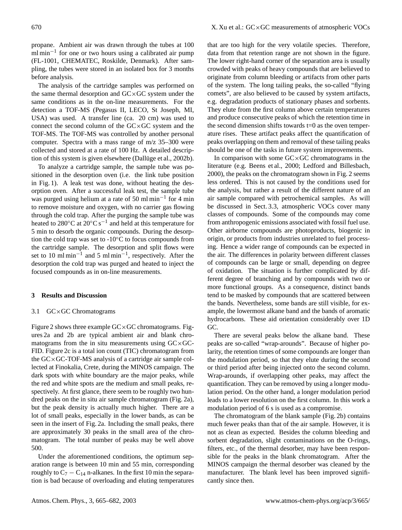propane. Ambient air was drawn through the tubes at 100 ml min<sup>-1</sup> for one or two hours using a calibrated air pump (FL-1001, CHEMATEC, Roskilde, Denmark). After sampling, the tubes were stored in an isolated box for 3 months before analysis.

The analysis of the cartridge samples was performed on the same thermal desorption and  $GC \times GC$  system under the same conditions as in the on-line measurements. For the detection a TOF-MS (Pegasus II, LECO, St Joseph, MI, USA) was used. A transfer line (ca. 20 cm) was used to connect the second column of the GC×GC system and the TOF-MS. The TOF-MS was controlled by another personal computer. Spectra with a mass range of m/z 35–300 were collected and stored at a rate of 100 Hz. A detailed description of this system is given elsewhere (Dalluge et al., 2002b).

To analyze a cartridge sample, the sample tube was positioned in the desorption oven (i.e. the link tube position in Fig. 1). A leak test was done, without heating the desorption oven. After a successful leak test, the sample tube was purged using helium at a rate of 50 ml min−<sup>1</sup> for 4 min to remove moisture and oxygen, with no carrier gas flowing through the cold trap. After the purging the sample tube was heated to 280 $^{\circ}$ C at 20 $^{\circ}$ C s<sup>-1</sup> and held at this temperature for 5 min to desorb the organic compounds. During the desorption the cold trap was set to -10◦C to focus compounds from the cartridge sample. The desorption and split flows were set to 10 ml min<sup>-1</sup> and 5 ml min<sup>-1</sup>, respectively. After the desorption the cold trap was purged and heated to inject the focused compounds as in on-line measurements.

# **3 Results and Discussion**

# 3.1 GC×GC Chromatograms

Figure 2 shows three example  $GC \times GC$  chromatograms. Figures 2a and 2b are typical ambient air and blank chromatograms from the in situ measurements using  $\text{GC} \times \text{GC}$ -FID. Figure 2c is a total ion count (TIC) chromatogram from the GC×GC-TOF-MS analysis of a cartridge air sample collected at Finokalia, Crete, during the MINOS campaign. The dark spots with white boundary are the major peaks, while the red and white spots are the medium and small peaks, respectively. At first glance, there seem to be roughly two hundred peaks on the in situ air sample chromatogram (Fig. 2a), but the peak density is actually much higher. There are a lot of small peaks, especially in the lower bands, as can be seen in the insert of Fig. 2a. Including the small peaks, there are approximately 30 peaks in the small area of the chromatogram. The total number of peaks may be well above 500.

Under the aforementioned conditions, the optimum separation range is between 10 min and 55 min, corresponding roughly to  $C_7 - C_{14}$  n-alkanes. In the first 10 min the separation is bad because of overloading and eluting temperatures

that are too high for the very volatile species. Therefore, data from that retention range are not shown in the figure. The lower right-hand corner of the separation area is usually crowded with peaks of heavy compounds that are believed to originate from column bleeding or artifacts from other parts of the system. The long tailing peaks, the so-called "flying comets", are also believed to be caused by system artifacts, e.g. degradation products of stationary phases and sorbents. They elute from the first column above certain temperatures and produce consecutive peaks of which the retention time in the second dimension shifts towards  $t=0$  as the oven temperature rises. These artifact peaks affect the quantification of peaks overlapping on them and removal of these tailing peaks should be one of the tasks in future system improvements.

In comparison with some  $GC \times GC$  chromatograms in the literature (e.g. Beens et al., 2000; Ledford and Billesbach, 2000), the peaks on the chromatogram shown in Fig. 2 seems less ordered. This is not caused by the conditions used for the analysis, but rather a result of the different nature of an air sample compared with petrochemical samples. As will be discussed in Sect. 3.3, atmospheric VOCs cover many classes of compounds. Some of the compounds may come from anthropogenic emissions associated with fossil fuel use. Other airborne compounds are photoproducts, biogenic in origin, or products from industries unrelated to fuel processing. Hence a wider range of compounds can be expected in the air. The differences in polarity between different classes of compounds can be large or small, depending on degree of oxidation. The situation is further complicated by different degree of branching and by compounds with two or more functional groups. As a consequence, distinct bands tend to be masked by compounds that are scattered between the bands. Nevertheless, some bands are still visible, for example, the lowermost alkane band and the bands of aromatic hydrocarbons. These aid orientation considerably over 1D GC.

There are several peaks below the alkane band. These peaks are so-called "wrap-arounds". Because of higher polarity, the retention times of some compounds are longer than the modulation period, so that they elute during the second or third period after being injected onto the second column. Wrap-arounds, if overlapping other peaks, may affect the quantification. They can be removed by using a longer modulation period. On the other hand, a longer modulation period leads to a lower resolution on the first column. In this work a modulation period of 6 s is used as a compromise.

The chromatogram of the blank sample (Fig. 2b) contains much fewer peaks than that of the air sample. However, it is not as clean as expected. Besides the column bleeding and sorbent degradation, slight contaminations on the O-rings, filters, etc., of the thermal desorber, may have been responsible for the peaks in the blank chromatogram. After the MINOS campaign the thermal desorber was cleaned by the manufacturer. The blank level has been improved significantly since then.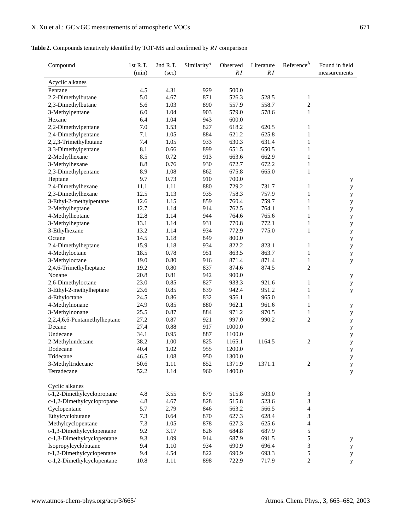# **Table 2.** Compounds tentatively identified by TOF-MS and confirmed by RI comparison

| Compound                     | 1st R.T. | 2nd R.T. | Similarity <sup>a</sup> | Observed | Literature | Reference $^b$              | Found in field |
|------------------------------|----------|----------|-------------------------|----------|------------|-----------------------------|----------------|
|                              | (min)    | (sec)    |                         | RI       | RI         |                             | measurements   |
| Acyclic alkanes              |          |          |                         |          |            |                             |                |
| Pentane                      | 4.5      | 4.31     | 929                     | 500.0    |            |                             |                |
| 2,2-Dimethylbutane           | 5.0      | 4.67     | 871                     | 526.3    | 528.5      | $\mathbf{1}$                |                |
| 2,3-Dimethylbutane           | 5.6      | 1.03     | 890                     | 557.9    | 558.7      | $\overline{c}$              |                |
| 3-Methylpentane              | 6.0      | 1.04     | 903                     | 579.0    | 578.6      | $\mathbf{1}$                |                |
| Hexane                       | 6.4      | 1.04     | 943                     | 600.0    |            |                             |                |
| 2,2-Dimethylpentane          | 7.0      | 1.53     | 827                     | 618.2    | 620.5      | $\mathbf{1}$                |                |
| 2,4-Dimethylpentane          | 7.1      | 1.05     | 884                     | 621.2    | 625.8      | $\mathbf{1}$                |                |
| 2,2,3-Trimethylbutane        | 7.4      | 1.05     | 933                     | 630.3    | 631.4      | 1                           |                |
| 3,3-Dimethylpentane          | 8.1      | 0.66     | 899                     | 651.5    | 650.5      | $\mathbf{1}$                |                |
| 2-Methylhexane               | 8.5      | 0.72     | 913                     | 663.6    | 662.9      | $\mathbf{1}$                |                |
| 3-Methylhexane               | 8.8      | 0.76     | 930                     | 672.7    | 672.2      | 1                           |                |
| 2,3-Dimethylpentane          | 8.9      | 1.08     | 862                     | 675.8    | 665.0      | $\mathbf{1}$                |                |
| Heptane                      | 9.7      | 0.73     | 910                     | 700.0    |            |                             | y              |
| 2,4-Dimethylhexane           | 11.1     | 1.11     | 880                     | 729.2    | 731.7      | 1                           | ${\bf y}$      |
| 2,3-Dimethylhexane           | 12.5     | 1.13     | 935                     | 758.3    | 757.9      | 1                           | y              |
| 3-Ethyl-2-methylpentane      | 12.6     | 1.15     | 859                     | 760.4    | 759.7      | 1                           | y              |
| 2-Methylheptane              | 12.7     | 1.14     | 914                     | 762.5    | 764.1      | $\mathbf{1}$                | ${\bf y}$      |
| 4-Methylheptane              | 12.8     | 1.14     | 944                     | 764.6    | 765.6      | 1                           | y              |
| 3-Methylheptane              | 13.1     | 1.14     | 931                     | 770.8    | 772.1      | 1                           | y              |
| 3-Ethylhexane                | 13.2     | 1.14     | 934                     | 772.9    | 775.0      | $\mathbf{1}$                | ${\bf y}$      |
| Octane                       | 14.5     | 1.18     | 849                     | 800.0    |            |                             | y              |
| 2,4-Dimethylheptane          | 15.9     | 1.18     | 934                     | 822.2    | 823.1      | $\mathbf{1}$                | y              |
| 4-Methyloctane               | 18.5     | 0.78     | 951                     | 863.5    | 863.7      | $\mathbf{1}$                | ${\bf y}$      |
| 3-Methyloctane               | 19.0     | 0.80     | 916                     | 871.4    | 871.4      | $\mathbf{1}$                | ${\bf y}$      |
| 2,4,6-Trimethylheptane       | 19.2     | 0.80     | 837                     | 874.6    | 874.5      | $\overline{c}$              |                |
| Nonane                       | 20.8     | 0.81     | 942                     | 900.0    |            |                             | ${\bf y}$      |
| 2,6-Dimethyloctane           | 23.0     | 0.85     | 827                     | 933.3    | 921.6      | 1                           | ${\bf y}$      |
| 3-Ethyl-2-methylheptane      | 23.6     | 0.85     | 839                     | 942.4    | 951.2      | $\mathbf{1}$                | ${\bf y}$      |
| 4-Ethyloctane                | 24.5     | 0.86     | 832                     | 956.1    | 965.0      | $\mathbf{1}$                |                |
| 4-Methylnonane               | 24.9     | 0.85     | 880                     | 962.1    | 961.6      | 1                           | y              |
| 3-Methylnonane               | 25.5     | 0.87     | 884                     | 971.2    | 970.5      | $\mathbf{1}$                | ${\bf y}$      |
| 2,2,4,6,6-Pentamethylheptane | 27.2     | 0.87     | 921                     | 997.0    | 990.2      | 2                           | y              |
| Decane                       | 27.4     | 0.88     | 917                     | 1000.0   |            |                             | y              |
| Undecane                     | 34.1     | 0.95     | 887                     | 1100.0   |            |                             | y              |
| 2-Methylundecane             | 38.2     | 1.00     | 825                     | 1165.1   | 1164.5     | $\overline{c}$              | y              |
| Dodecane                     | 40.4     | 1.02     | 955                     | 1200.0   |            |                             | y              |
| Tridecane                    | 46.5     | 1.08     | 950                     | 1300.0   |            |                             | y              |
| 3-Methyltridecane            | 50.6     | 1.11     | 852                     | 1371.9   | 1371.1     | 2                           | $\mathbf{y}$   |
| Tetradecane                  | 52.2     | 1.14     | 960                     | 1400.0   |            |                             | y              |
| Cyclic alkanes               |          |          |                         |          |            |                             |                |
| t-1,2-Dimethylcyclopropane   | 4.8      | 3.55     | 879                     | 515.8    | 503.0      | $\mathfrak{Z}$              |                |
| c-1,2-Dimethylcyclopropane   | 4.8      | 4.67     | 828                     | 515.8    | 523.6      | 3                           |                |
| Cyclopentane                 | 5.7      | 2.79     | 846                     | 563.2    | 566.5      | $\overline{\mathcal{L}}$    |                |
| Ethylcyclobutane             | 7.3      | 0.64     | 870                     | 627.3    | 628.4      | 3                           |                |
| Methylcyclopentane           | 7.3      | 1.05     | 878                     | 627.3    | 625.6      | $\overline{4}$              |                |
| t-1,3-Dimethylcyclopentane   | 9.2      | 3.17     | 826                     | 684.8    | 687.9      | $\sqrt{5}$                  |                |
| c-1,3-Dimethylcyclopentane   | 9.3      | 1.09     | 914                     | 687.9    | 691.5      | $\sqrt{5}$                  |                |
| Isopropylcyclobutane         | 9.4      | 1.10     | 934                     | 690.9    | 696.4      | $\ensuremath{\mathfrak{Z}}$ | y<br>${\bf y}$ |
| t-1,2-Dimethylcyclopentane   | 9.4      | 4.54     | 822                     | 690.9    | 693.3      | $\sqrt{5}$                  | $\mathbf y$    |
| c-1,2-Dimethylcyclopentane   | 10.8     | 1.11     | 898                     | 722.9    | 717.9      | $\overline{2}$              | y              |
|                              |          |          |                         |          |            |                             |                |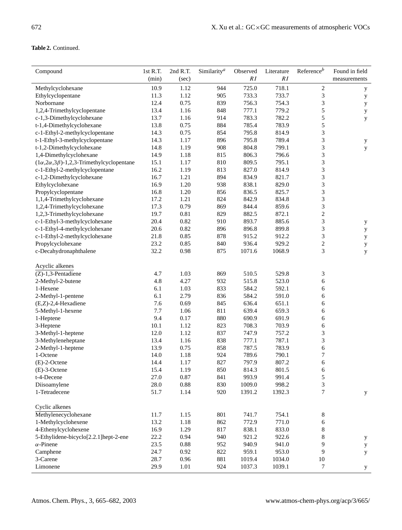| 10.9<br>$\sqrt{2}$<br>Methylcyclohexane<br>1.12<br>944<br>725.0<br>718.1<br>${\bf y}$<br>3<br>1.12<br>733.3<br>733.7<br>Ethylcyclopentane<br>11.3<br>905<br>y<br>3<br>12.4<br>0.75<br>839<br>756.3<br>754.3<br>Norbornane<br>${\bf y}$<br>5<br>13.4<br>1.16<br>777.1<br>779.2<br>1,2,4-Trimethylcyclopentane<br>848<br>${\bf y}$<br>5<br>13.7<br>1.16<br>914<br>783.3<br>782.2<br>c-1,3-Dimethylcyclohexane<br>${\bf y}$<br>5<br>0.75<br>884<br>785.4<br>783.9<br>t-1,4-Dimethylcyclohexane<br>13.8<br>3<br>854<br>795.8<br>c-1-Ethyl-2-methylcyclopentane<br>14.3<br>0.75<br>814.9<br>3<br>t-1-Ethyl-3-methylcyclopentane<br>14.3<br>1.17<br>896<br>795.8<br>789.4<br>y<br>3<br>t-1,2-Dimethylcyclohexane<br>14.8<br>1.19<br>908<br>804.8<br>799.1<br>${\bf y}$<br>3<br>14.9<br>1.18<br>815<br>806.3<br>796.6<br>1,4-Dimethylcyclohexane<br>3<br>$(1\alpha, 2\alpha, 3\beta)$ -1,2,3-Trimethylcyclopentane<br>15.1<br>1.17<br>810<br>809.5<br>795.1<br>3<br>16.2<br>1.19<br>813<br>827.0<br>c-1-Ethyl-2-methylcyclopentane<br>814.9<br>3<br>834.9<br>c-1,2-Dimethylcyclohexane<br>16.7<br>1.21<br>894<br>821.7<br>3<br>16.9<br>1.20<br>838.1<br>Ethylcyclohexane<br>938<br>829.0<br>3<br>16.8<br>1.20<br>856<br>825.7<br>Propylcyclopentane<br>836.5<br>3<br>1,1,4-Trimethylcyclohexane<br>17.2<br>1.21<br>824<br>842.9<br>834.8<br>3<br>0.79<br>1,2,4-Trimethylcyclohexane<br>17.3<br>869<br>844.4<br>859.6<br>$\overline{c}$<br>19.7<br>0.81<br>829<br>882.5<br>872.1<br>1,2,3-Trimethylcyclohexane<br>3<br>20.4<br>0.82<br>910<br>893.7<br>885.6<br>c-1-Ethyl-3-methylcyclohexane<br>у<br>3<br>c-1-Ethyl-4-methylcyclohexane<br>0.82<br>896<br>20.6<br>896.8<br>899.8<br>${\bf y}$<br>3<br>0.85<br>878<br>915.2<br>c-1-Ethyl-2-methylcyclohexane<br>21.8<br>912.2<br>$\mathbf y$<br>$\overline{c}$<br>Propylcyclohexane<br>23.2<br>0.85<br>936.4<br>929.2<br>840<br>$\mathbf y$<br>3<br>c-Decahydronaphthalene<br>32.2<br>0.98<br>1071.6<br>875<br>1068.9<br>y<br>Acyclic alkenes<br>(Z)-1,3-Pentadiene<br>1.03<br>510.5<br>4.7<br>869<br>529.8<br>3<br>6<br>4.8<br>4.27<br>932<br>515.8<br>2-Methyl-2-butene<br>523.0<br>6.1<br>833<br>6<br>1.03<br>584.2<br>592.1<br>1-Hexene<br>6.1<br>2.79<br>836<br>584.2<br>591.0<br>2-Methyl-1-pentene<br>6<br>7.6<br>0.69<br>845<br>636.4<br>$(E,Z)$ -2,4-Hexadiene<br>651.1<br>6<br>7.7<br>6<br>5-Methyl-1-hexene<br>1.06<br>811<br>639.4<br>659.3<br>9.4<br>880<br>6<br>0.17<br>690.9<br>691.9<br>1-Heptene<br>1.12<br>823<br>708.3<br>6<br>10.1<br>703.9<br>3-Heptene<br>3<br>1.12<br>837<br>747.9<br>757.2<br>12.0<br>3-Methyl-1-heptene<br>3<br>13.4<br>1.16<br>838<br>787.1<br>3-Methyleneheptane<br>777.1<br>787.5<br>783.9<br>6<br>2-Methyl-1-heptene<br>13.9<br>0.75<br>858<br>7<br>14.0<br>1.18<br>789.6<br>924<br>790.1<br>1-Octene<br>6<br>14.4<br>1.17<br>827<br>797.9<br>807.2<br>$(E)-2$ -Octene<br>15.4<br>1.19<br>850<br>814.3<br>$(E)-3$ -Octene<br>801.5<br>6<br>5<br>27.0<br>0.87<br>993.9<br>991.4<br>t-4-Decene<br>841<br>3<br>28.0<br>0.88<br>830<br>998.2<br>Diisoamylene<br>1009.0<br>$\tau$<br>1-Tetradecene<br>51.7<br>1.14<br>920<br>1391.2<br>1392.3<br>$\mathbf y$<br>Cyclic alkenes | Compound             | 1st R.T.<br>(min) | 2nd R.T.<br>(sec) | Similarity <sup>a</sup> | Observed<br>RI | Literature<br>RI | Reference <sup>b</sup> | Found in field<br>measurements |
|----------------------------------------------------------------------------------------------------------------------------------------------------------------------------------------------------------------------------------------------------------------------------------------------------------------------------------------------------------------------------------------------------------------------------------------------------------------------------------------------------------------------------------------------------------------------------------------------------------------------------------------------------------------------------------------------------------------------------------------------------------------------------------------------------------------------------------------------------------------------------------------------------------------------------------------------------------------------------------------------------------------------------------------------------------------------------------------------------------------------------------------------------------------------------------------------------------------------------------------------------------------------------------------------------------------------------------------------------------------------------------------------------------------------------------------------------------------------------------------------------------------------------------------------------------------------------------------------------------------------------------------------------------------------------------------------------------------------------------------------------------------------------------------------------------------------------------------------------------------------------------------------------------------------------------------------------------------------------------------------------------------------------------------------------------------------------------------------------------------------------------------------------------------------------------------------------------------------------------------------------------------------------------------------------------------------------------------------------------------------------------------------------------------------------------------------------------------------------------------------------------------------------------------------------------------------------------------------------------------------------------------------------------------------------------------------------------------------------------------------------------------------------------------------------------------------------------------------------------------------------------------------------------------------------------------------------------------------------------------------------------------------------------------------------------------------------------------------------------------------------------------------------------------|----------------------|-------------------|-------------------|-------------------------|----------------|------------------|------------------------|--------------------------------|
|                                                                                                                                                                                                                                                                                                                                                                                                                                                                                                                                                                                                                                                                                                                                                                                                                                                                                                                                                                                                                                                                                                                                                                                                                                                                                                                                                                                                                                                                                                                                                                                                                                                                                                                                                                                                                                                                                                                                                                                                                                                                                                                                                                                                                                                                                                                                                                                                                                                                                                                                                                                                                                                                                                                                                                                                                                                                                                                                                                                                                                                                                                                                                                |                      |                   |                   |                         |                |                  |                        |                                |
|                                                                                                                                                                                                                                                                                                                                                                                                                                                                                                                                                                                                                                                                                                                                                                                                                                                                                                                                                                                                                                                                                                                                                                                                                                                                                                                                                                                                                                                                                                                                                                                                                                                                                                                                                                                                                                                                                                                                                                                                                                                                                                                                                                                                                                                                                                                                                                                                                                                                                                                                                                                                                                                                                                                                                                                                                                                                                                                                                                                                                                                                                                                                                                |                      |                   |                   |                         |                |                  |                        |                                |
|                                                                                                                                                                                                                                                                                                                                                                                                                                                                                                                                                                                                                                                                                                                                                                                                                                                                                                                                                                                                                                                                                                                                                                                                                                                                                                                                                                                                                                                                                                                                                                                                                                                                                                                                                                                                                                                                                                                                                                                                                                                                                                                                                                                                                                                                                                                                                                                                                                                                                                                                                                                                                                                                                                                                                                                                                                                                                                                                                                                                                                                                                                                                                                |                      |                   |                   |                         |                |                  |                        |                                |
|                                                                                                                                                                                                                                                                                                                                                                                                                                                                                                                                                                                                                                                                                                                                                                                                                                                                                                                                                                                                                                                                                                                                                                                                                                                                                                                                                                                                                                                                                                                                                                                                                                                                                                                                                                                                                                                                                                                                                                                                                                                                                                                                                                                                                                                                                                                                                                                                                                                                                                                                                                                                                                                                                                                                                                                                                                                                                                                                                                                                                                                                                                                                                                |                      |                   |                   |                         |                |                  |                        |                                |
|                                                                                                                                                                                                                                                                                                                                                                                                                                                                                                                                                                                                                                                                                                                                                                                                                                                                                                                                                                                                                                                                                                                                                                                                                                                                                                                                                                                                                                                                                                                                                                                                                                                                                                                                                                                                                                                                                                                                                                                                                                                                                                                                                                                                                                                                                                                                                                                                                                                                                                                                                                                                                                                                                                                                                                                                                                                                                                                                                                                                                                                                                                                                                                |                      |                   |                   |                         |                |                  |                        |                                |
|                                                                                                                                                                                                                                                                                                                                                                                                                                                                                                                                                                                                                                                                                                                                                                                                                                                                                                                                                                                                                                                                                                                                                                                                                                                                                                                                                                                                                                                                                                                                                                                                                                                                                                                                                                                                                                                                                                                                                                                                                                                                                                                                                                                                                                                                                                                                                                                                                                                                                                                                                                                                                                                                                                                                                                                                                                                                                                                                                                                                                                                                                                                                                                |                      |                   |                   |                         |                |                  |                        |                                |
|                                                                                                                                                                                                                                                                                                                                                                                                                                                                                                                                                                                                                                                                                                                                                                                                                                                                                                                                                                                                                                                                                                                                                                                                                                                                                                                                                                                                                                                                                                                                                                                                                                                                                                                                                                                                                                                                                                                                                                                                                                                                                                                                                                                                                                                                                                                                                                                                                                                                                                                                                                                                                                                                                                                                                                                                                                                                                                                                                                                                                                                                                                                                                                |                      |                   |                   |                         |                |                  |                        |                                |
|                                                                                                                                                                                                                                                                                                                                                                                                                                                                                                                                                                                                                                                                                                                                                                                                                                                                                                                                                                                                                                                                                                                                                                                                                                                                                                                                                                                                                                                                                                                                                                                                                                                                                                                                                                                                                                                                                                                                                                                                                                                                                                                                                                                                                                                                                                                                                                                                                                                                                                                                                                                                                                                                                                                                                                                                                                                                                                                                                                                                                                                                                                                                                                |                      |                   |                   |                         |                |                  |                        |                                |
|                                                                                                                                                                                                                                                                                                                                                                                                                                                                                                                                                                                                                                                                                                                                                                                                                                                                                                                                                                                                                                                                                                                                                                                                                                                                                                                                                                                                                                                                                                                                                                                                                                                                                                                                                                                                                                                                                                                                                                                                                                                                                                                                                                                                                                                                                                                                                                                                                                                                                                                                                                                                                                                                                                                                                                                                                                                                                                                                                                                                                                                                                                                                                                |                      |                   |                   |                         |                |                  |                        |                                |
|                                                                                                                                                                                                                                                                                                                                                                                                                                                                                                                                                                                                                                                                                                                                                                                                                                                                                                                                                                                                                                                                                                                                                                                                                                                                                                                                                                                                                                                                                                                                                                                                                                                                                                                                                                                                                                                                                                                                                                                                                                                                                                                                                                                                                                                                                                                                                                                                                                                                                                                                                                                                                                                                                                                                                                                                                                                                                                                                                                                                                                                                                                                                                                |                      |                   |                   |                         |                |                  |                        |                                |
|                                                                                                                                                                                                                                                                                                                                                                                                                                                                                                                                                                                                                                                                                                                                                                                                                                                                                                                                                                                                                                                                                                                                                                                                                                                                                                                                                                                                                                                                                                                                                                                                                                                                                                                                                                                                                                                                                                                                                                                                                                                                                                                                                                                                                                                                                                                                                                                                                                                                                                                                                                                                                                                                                                                                                                                                                                                                                                                                                                                                                                                                                                                                                                |                      |                   |                   |                         |                |                  |                        |                                |
|                                                                                                                                                                                                                                                                                                                                                                                                                                                                                                                                                                                                                                                                                                                                                                                                                                                                                                                                                                                                                                                                                                                                                                                                                                                                                                                                                                                                                                                                                                                                                                                                                                                                                                                                                                                                                                                                                                                                                                                                                                                                                                                                                                                                                                                                                                                                                                                                                                                                                                                                                                                                                                                                                                                                                                                                                                                                                                                                                                                                                                                                                                                                                                |                      |                   |                   |                         |                |                  |                        |                                |
|                                                                                                                                                                                                                                                                                                                                                                                                                                                                                                                                                                                                                                                                                                                                                                                                                                                                                                                                                                                                                                                                                                                                                                                                                                                                                                                                                                                                                                                                                                                                                                                                                                                                                                                                                                                                                                                                                                                                                                                                                                                                                                                                                                                                                                                                                                                                                                                                                                                                                                                                                                                                                                                                                                                                                                                                                                                                                                                                                                                                                                                                                                                                                                |                      |                   |                   |                         |                |                  |                        |                                |
|                                                                                                                                                                                                                                                                                                                                                                                                                                                                                                                                                                                                                                                                                                                                                                                                                                                                                                                                                                                                                                                                                                                                                                                                                                                                                                                                                                                                                                                                                                                                                                                                                                                                                                                                                                                                                                                                                                                                                                                                                                                                                                                                                                                                                                                                                                                                                                                                                                                                                                                                                                                                                                                                                                                                                                                                                                                                                                                                                                                                                                                                                                                                                                |                      |                   |                   |                         |                |                  |                        |                                |
|                                                                                                                                                                                                                                                                                                                                                                                                                                                                                                                                                                                                                                                                                                                                                                                                                                                                                                                                                                                                                                                                                                                                                                                                                                                                                                                                                                                                                                                                                                                                                                                                                                                                                                                                                                                                                                                                                                                                                                                                                                                                                                                                                                                                                                                                                                                                                                                                                                                                                                                                                                                                                                                                                                                                                                                                                                                                                                                                                                                                                                                                                                                                                                |                      |                   |                   |                         |                |                  |                        |                                |
|                                                                                                                                                                                                                                                                                                                                                                                                                                                                                                                                                                                                                                                                                                                                                                                                                                                                                                                                                                                                                                                                                                                                                                                                                                                                                                                                                                                                                                                                                                                                                                                                                                                                                                                                                                                                                                                                                                                                                                                                                                                                                                                                                                                                                                                                                                                                                                                                                                                                                                                                                                                                                                                                                                                                                                                                                                                                                                                                                                                                                                                                                                                                                                |                      |                   |                   |                         |                |                  |                        |                                |
|                                                                                                                                                                                                                                                                                                                                                                                                                                                                                                                                                                                                                                                                                                                                                                                                                                                                                                                                                                                                                                                                                                                                                                                                                                                                                                                                                                                                                                                                                                                                                                                                                                                                                                                                                                                                                                                                                                                                                                                                                                                                                                                                                                                                                                                                                                                                                                                                                                                                                                                                                                                                                                                                                                                                                                                                                                                                                                                                                                                                                                                                                                                                                                |                      |                   |                   |                         |                |                  |                        |                                |
|                                                                                                                                                                                                                                                                                                                                                                                                                                                                                                                                                                                                                                                                                                                                                                                                                                                                                                                                                                                                                                                                                                                                                                                                                                                                                                                                                                                                                                                                                                                                                                                                                                                                                                                                                                                                                                                                                                                                                                                                                                                                                                                                                                                                                                                                                                                                                                                                                                                                                                                                                                                                                                                                                                                                                                                                                                                                                                                                                                                                                                                                                                                                                                |                      |                   |                   |                         |                |                  |                        |                                |
|                                                                                                                                                                                                                                                                                                                                                                                                                                                                                                                                                                                                                                                                                                                                                                                                                                                                                                                                                                                                                                                                                                                                                                                                                                                                                                                                                                                                                                                                                                                                                                                                                                                                                                                                                                                                                                                                                                                                                                                                                                                                                                                                                                                                                                                                                                                                                                                                                                                                                                                                                                                                                                                                                                                                                                                                                                                                                                                                                                                                                                                                                                                                                                |                      |                   |                   |                         |                |                  |                        |                                |
|                                                                                                                                                                                                                                                                                                                                                                                                                                                                                                                                                                                                                                                                                                                                                                                                                                                                                                                                                                                                                                                                                                                                                                                                                                                                                                                                                                                                                                                                                                                                                                                                                                                                                                                                                                                                                                                                                                                                                                                                                                                                                                                                                                                                                                                                                                                                                                                                                                                                                                                                                                                                                                                                                                                                                                                                                                                                                                                                                                                                                                                                                                                                                                |                      |                   |                   |                         |                |                  |                        |                                |
|                                                                                                                                                                                                                                                                                                                                                                                                                                                                                                                                                                                                                                                                                                                                                                                                                                                                                                                                                                                                                                                                                                                                                                                                                                                                                                                                                                                                                                                                                                                                                                                                                                                                                                                                                                                                                                                                                                                                                                                                                                                                                                                                                                                                                                                                                                                                                                                                                                                                                                                                                                                                                                                                                                                                                                                                                                                                                                                                                                                                                                                                                                                                                                |                      |                   |                   |                         |                |                  |                        |                                |
|                                                                                                                                                                                                                                                                                                                                                                                                                                                                                                                                                                                                                                                                                                                                                                                                                                                                                                                                                                                                                                                                                                                                                                                                                                                                                                                                                                                                                                                                                                                                                                                                                                                                                                                                                                                                                                                                                                                                                                                                                                                                                                                                                                                                                                                                                                                                                                                                                                                                                                                                                                                                                                                                                                                                                                                                                                                                                                                                                                                                                                                                                                                                                                |                      |                   |                   |                         |                |                  |                        |                                |
|                                                                                                                                                                                                                                                                                                                                                                                                                                                                                                                                                                                                                                                                                                                                                                                                                                                                                                                                                                                                                                                                                                                                                                                                                                                                                                                                                                                                                                                                                                                                                                                                                                                                                                                                                                                                                                                                                                                                                                                                                                                                                                                                                                                                                                                                                                                                                                                                                                                                                                                                                                                                                                                                                                                                                                                                                                                                                                                                                                                                                                                                                                                                                                |                      |                   |                   |                         |                |                  |                        |                                |
|                                                                                                                                                                                                                                                                                                                                                                                                                                                                                                                                                                                                                                                                                                                                                                                                                                                                                                                                                                                                                                                                                                                                                                                                                                                                                                                                                                                                                                                                                                                                                                                                                                                                                                                                                                                                                                                                                                                                                                                                                                                                                                                                                                                                                                                                                                                                                                                                                                                                                                                                                                                                                                                                                                                                                                                                                                                                                                                                                                                                                                                                                                                                                                |                      |                   |                   |                         |                |                  |                        |                                |
|                                                                                                                                                                                                                                                                                                                                                                                                                                                                                                                                                                                                                                                                                                                                                                                                                                                                                                                                                                                                                                                                                                                                                                                                                                                                                                                                                                                                                                                                                                                                                                                                                                                                                                                                                                                                                                                                                                                                                                                                                                                                                                                                                                                                                                                                                                                                                                                                                                                                                                                                                                                                                                                                                                                                                                                                                                                                                                                                                                                                                                                                                                                                                                |                      |                   |                   |                         |                |                  |                        |                                |
|                                                                                                                                                                                                                                                                                                                                                                                                                                                                                                                                                                                                                                                                                                                                                                                                                                                                                                                                                                                                                                                                                                                                                                                                                                                                                                                                                                                                                                                                                                                                                                                                                                                                                                                                                                                                                                                                                                                                                                                                                                                                                                                                                                                                                                                                                                                                                                                                                                                                                                                                                                                                                                                                                                                                                                                                                                                                                                                                                                                                                                                                                                                                                                |                      |                   |                   |                         |                |                  |                        |                                |
|                                                                                                                                                                                                                                                                                                                                                                                                                                                                                                                                                                                                                                                                                                                                                                                                                                                                                                                                                                                                                                                                                                                                                                                                                                                                                                                                                                                                                                                                                                                                                                                                                                                                                                                                                                                                                                                                                                                                                                                                                                                                                                                                                                                                                                                                                                                                                                                                                                                                                                                                                                                                                                                                                                                                                                                                                                                                                                                                                                                                                                                                                                                                                                |                      |                   |                   |                         |                |                  |                        |                                |
|                                                                                                                                                                                                                                                                                                                                                                                                                                                                                                                                                                                                                                                                                                                                                                                                                                                                                                                                                                                                                                                                                                                                                                                                                                                                                                                                                                                                                                                                                                                                                                                                                                                                                                                                                                                                                                                                                                                                                                                                                                                                                                                                                                                                                                                                                                                                                                                                                                                                                                                                                                                                                                                                                                                                                                                                                                                                                                                                                                                                                                                                                                                                                                |                      |                   |                   |                         |                |                  |                        |                                |
|                                                                                                                                                                                                                                                                                                                                                                                                                                                                                                                                                                                                                                                                                                                                                                                                                                                                                                                                                                                                                                                                                                                                                                                                                                                                                                                                                                                                                                                                                                                                                                                                                                                                                                                                                                                                                                                                                                                                                                                                                                                                                                                                                                                                                                                                                                                                                                                                                                                                                                                                                                                                                                                                                                                                                                                                                                                                                                                                                                                                                                                                                                                                                                |                      |                   |                   |                         |                |                  |                        |                                |
|                                                                                                                                                                                                                                                                                                                                                                                                                                                                                                                                                                                                                                                                                                                                                                                                                                                                                                                                                                                                                                                                                                                                                                                                                                                                                                                                                                                                                                                                                                                                                                                                                                                                                                                                                                                                                                                                                                                                                                                                                                                                                                                                                                                                                                                                                                                                                                                                                                                                                                                                                                                                                                                                                                                                                                                                                                                                                                                                                                                                                                                                                                                                                                |                      |                   |                   |                         |                |                  |                        |                                |
|                                                                                                                                                                                                                                                                                                                                                                                                                                                                                                                                                                                                                                                                                                                                                                                                                                                                                                                                                                                                                                                                                                                                                                                                                                                                                                                                                                                                                                                                                                                                                                                                                                                                                                                                                                                                                                                                                                                                                                                                                                                                                                                                                                                                                                                                                                                                                                                                                                                                                                                                                                                                                                                                                                                                                                                                                                                                                                                                                                                                                                                                                                                                                                |                      |                   |                   |                         |                |                  |                        |                                |
|                                                                                                                                                                                                                                                                                                                                                                                                                                                                                                                                                                                                                                                                                                                                                                                                                                                                                                                                                                                                                                                                                                                                                                                                                                                                                                                                                                                                                                                                                                                                                                                                                                                                                                                                                                                                                                                                                                                                                                                                                                                                                                                                                                                                                                                                                                                                                                                                                                                                                                                                                                                                                                                                                                                                                                                                                                                                                                                                                                                                                                                                                                                                                                |                      |                   |                   |                         |                |                  |                        |                                |
|                                                                                                                                                                                                                                                                                                                                                                                                                                                                                                                                                                                                                                                                                                                                                                                                                                                                                                                                                                                                                                                                                                                                                                                                                                                                                                                                                                                                                                                                                                                                                                                                                                                                                                                                                                                                                                                                                                                                                                                                                                                                                                                                                                                                                                                                                                                                                                                                                                                                                                                                                                                                                                                                                                                                                                                                                                                                                                                                                                                                                                                                                                                                                                |                      |                   |                   |                         |                |                  |                        |                                |
|                                                                                                                                                                                                                                                                                                                                                                                                                                                                                                                                                                                                                                                                                                                                                                                                                                                                                                                                                                                                                                                                                                                                                                                                                                                                                                                                                                                                                                                                                                                                                                                                                                                                                                                                                                                                                                                                                                                                                                                                                                                                                                                                                                                                                                                                                                                                                                                                                                                                                                                                                                                                                                                                                                                                                                                                                                                                                                                                                                                                                                                                                                                                                                |                      |                   |                   |                         |                |                  |                        |                                |
|                                                                                                                                                                                                                                                                                                                                                                                                                                                                                                                                                                                                                                                                                                                                                                                                                                                                                                                                                                                                                                                                                                                                                                                                                                                                                                                                                                                                                                                                                                                                                                                                                                                                                                                                                                                                                                                                                                                                                                                                                                                                                                                                                                                                                                                                                                                                                                                                                                                                                                                                                                                                                                                                                                                                                                                                                                                                                                                                                                                                                                                                                                                                                                |                      |                   |                   |                         |                |                  |                        |                                |
|                                                                                                                                                                                                                                                                                                                                                                                                                                                                                                                                                                                                                                                                                                                                                                                                                                                                                                                                                                                                                                                                                                                                                                                                                                                                                                                                                                                                                                                                                                                                                                                                                                                                                                                                                                                                                                                                                                                                                                                                                                                                                                                                                                                                                                                                                                                                                                                                                                                                                                                                                                                                                                                                                                                                                                                                                                                                                                                                                                                                                                                                                                                                                                |                      |                   |                   |                         |                |                  |                        |                                |
|                                                                                                                                                                                                                                                                                                                                                                                                                                                                                                                                                                                                                                                                                                                                                                                                                                                                                                                                                                                                                                                                                                                                                                                                                                                                                                                                                                                                                                                                                                                                                                                                                                                                                                                                                                                                                                                                                                                                                                                                                                                                                                                                                                                                                                                                                                                                                                                                                                                                                                                                                                                                                                                                                                                                                                                                                                                                                                                                                                                                                                                                                                                                                                |                      |                   |                   |                         |                |                  |                        |                                |
|                                                                                                                                                                                                                                                                                                                                                                                                                                                                                                                                                                                                                                                                                                                                                                                                                                                                                                                                                                                                                                                                                                                                                                                                                                                                                                                                                                                                                                                                                                                                                                                                                                                                                                                                                                                                                                                                                                                                                                                                                                                                                                                                                                                                                                                                                                                                                                                                                                                                                                                                                                                                                                                                                                                                                                                                                                                                                                                                                                                                                                                                                                                                                                |                      |                   |                   |                         |                |                  |                        |                                |
|                                                                                                                                                                                                                                                                                                                                                                                                                                                                                                                                                                                                                                                                                                                                                                                                                                                                                                                                                                                                                                                                                                                                                                                                                                                                                                                                                                                                                                                                                                                                                                                                                                                                                                                                                                                                                                                                                                                                                                                                                                                                                                                                                                                                                                                                                                                                                                                                                                                                                                                                                                                                                                                                                                                                                                                                                                                                                                                                                                                                                                                                                                                                                                |                      |                   |                   |                         |                |                  |                        |                                |
|                                                                                                                                                                                                                                                                                                                                                                                                                                                                                                                                                                                                                                                                                                                                                                                                                                                                                                                                                                                                                                                                                                                                                                                                                                                                                                                                                                                                                                                                                                                                                                                                                                                                                                                                                                                                                                                                                                                                                                                                                                                                                                                                                                                                                                                                                                                                                                                                                                                                                                                                                                                                                                                                                                                                                                                                                                                                                                                                                                                                                                                                                                                                                                |                      |                   |                   |                         |                |                  |                        |                                |
|                                                                                                                                                                                                                                                                                                                                                                                                                                                                                                                                                                                                                                                                                                                                                                                                                                                                                                                                                                                                                                                                                                                                                                                                                                                                                                                                                                                                                                                                                                                                                                                                                                                                                                                                                                                                                                                                                                                                                                                                                                                                                                                                                                                                                                                                                                                                                                                                                                                                                                                                                                                                                                                                                                                                                                                                                                                                                                                                                                                                                                                                                                                                                                |                      |                   |                   |                         |                |                  |                        |                                |
|                                                                                                                                                                                                                                                                                                                                                                                                                                                                                                                                                                                                                                                                                                                                                                                                                                                                                                                                                                                                                                                                                                                                                                                                                                                                                                                                                                                                                                                                                                                                                                                                                                                                                                                                                                                                                                                                                                                                                                                                                                                                                                                                                                                                                                                                                                                                                                                                                                                                                                                                                                                                                                                                                                                                                                                                                                                                                                                                                                                                                                                                                                                                                                |                      |                   |                   |                         |                |                  |                        |                                |
|                                                                                                                                                                                                                                                                                                                                                                                                                                                                                                                                                                                                                                                                                                                                                                                                                                                                                                                                                                                                                                                                                                                                                                                                                                                                                                                                                                                                                                                                                                                                                                                                                                                                                                                                                                                                                                                                                                                                                                                                                                                                                                                                                                                                                                                                                                                                                                                                                                                                                                                                                                                                                                                                                                                                                                                                                                                                                                                                                                                                                                                                                                                                                                | Methylenecyclohexane | 11.7              | 1.15              | 801                     | 741.7          | 754.1            | 8                      |                                |
| 1-Methylcyclohexene<br>772.9<br>6<br>13.2<br>1.18<br>862<br>771.0                                                                                                                                                                                                                                                                                                                                                                                                                                                                                                                                                                                                                                                                                                                                                                                                                                                                                                                                                                                                                                                                                                                                                                                                                                                                                                                                                                                                                                                                                                                                                                                                                                                                                                                                                                                                                                                                                                                                                                                                                                                                                                                                                                                                                                                                                                                                                                                                                                                                                                                                                                                                                                                                                                                                                                                                                                                                                                                                                                                                                                                                                              |                      |                   |                   |                         |                |                  |                        |                                |
| 4-Ethenylcyclohexene<br>16.9<br>$\,8$<br>1.29<br>817<br>838.1<br>833.0                                                                                                                                                                                                                                                                                                                                                                                                                                                                                                                                                                                                                                                                                                                                                                                                                                                                                                                                                                                                                                                                                                                                                                                                                                                                                                                                                                                                                                                                                                                                                                                                                                                                                                                                                                                                                                                                                                                                                                                                                                                                                                                                                                                                                                                                                                                                                                                                                                                                                                                                                                                                                                                                                                                                                                                                                                                                                                                                                                                                                                                                                         |                      |                   |                   |                         |                |                  |                        |                                |
| 5-Ethylidene-bicyclo[2.2.1]hept-2-ene<br>22.2<br>0.94<br>921.2<br>922.6<br>8<br>940<br>${\bf y}$                                                                                                                                                                                                                                                                                                                                                                                                                                                                                                                                                                                                                                                                                                                                                                                                                                                                                                                                                                                                                                                                                                                                                                                                                                                                                                                                                                                                                                                                                                                                                                                                                                                                                                                                                                                                                                                                                                                                                                                                                                                                                                                                                                                                                                                                                                                                                                                                                                                                                                                                                                                                                                                                                                                                                                                                                                                                                                                                                                                                                                                               |                      |                   |                   |                         |                |                  |                        |                                |
| 9<br>23.5<br>0.88<br>940.9<br>$\alpha$ -Pinene<br>952<br>941.0<br>$\mathbf y$                                                                                                                                                                                                                                                                                                                                                                                                                                                                                                                                                                                                                                                                                                                                                                                                                                                                                                                                                                                                                                                                                                                                                                                                                                                                                                                                                                                                                                                                                                                                                                                                                                                                                                                                                                                                                                                                                                                                                                                                                                                                                                                                                                                                                                                                                                                                                                                                                                                                                                                                                                                                                                                                                                                                                                                                                                                                                                                                                                                                                                                                                  |                      |                   |                   |                         |                |                  |                        |                                |
| 9<br>Camphene<br>24.7<br>0.92<br>822<br>959.1<br>953.0<br>y                                                                                                                                                                                                                                                                                                                                                                                                                                                                                                                                                                                                                                                                                                                                                                                                                                                                                                                                                                                                                                                                                                                                                                                                                                                                                                                                                                                                                                                                                                                                                                                                                                                                                                                                                                                                                                                                                                                                                                                                                                                                                                                                                                                                                                                                                                                                                                                                                                                                                                                                                                                                                                                                                                                                                                                                                                                                                                                                                                                                                                                                                                    |                      |                   |                   |                         |                |                  |                        |                                |
| 28.7<br>0.96<br>881<br>$10\,$<br>3-Carene<br>1019.4<br>1034.0                                                                                                                                                                                                                                                                                                                                                                                                                                                                                                                                                                                                                                                                                                                                                                                                                                                                                                                                                                                                                                                                                                                                                                                                                                                                                                                                                                                                                                                                                                                                                                                                                                                                                                                                                                                                                                                                                                                                                                                                                                                                                                                                                                                                                                                                                                                                                                                                                                                                                                                                                                                                                                                                                                                                                                                                                                                                                                                                                                                                                                                                                                  |                      |                   |                   |                         |                |                  |                        |                                |
| 29.9<br>924<br>1037.3<br>$\boldsymbol{7}$<br>Limonene<br>1.01<br>1039.1<br>y                                                                                                                                                                                                                                                                                                                                                                                                                                                                                                                                                                                                                                                                                                                                                                                                                                                                                                                                                                                                                                                                                                                                                                                                                                                                                                                                                                                                                                                                                                                                                                                                                                                                                                                                                                                                                                                                                                                                                                                                                                                                                                                                                                                                                                                                                                                                                                                                                                                                                                                                                                                                                                                                                                                                                                                                                                                                                                                                                                                                                                                                                   |                      |                   |                   |                         |                |                  |                        |                                |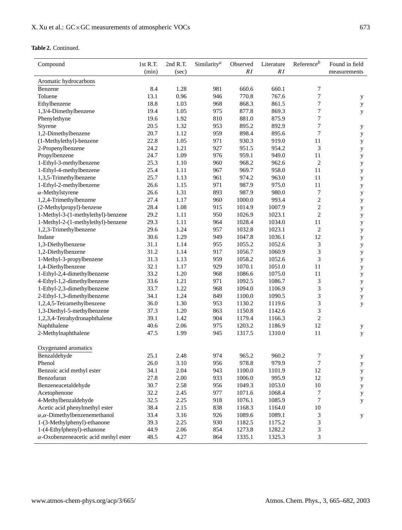| RI<br>RI<br>(min)<br>(sec)<br>measurements<br>Aromatic hydrocarbons<br>8.4<br>981<br>660.1<br>7<br>1.28<br>660.6<br>Benzene<br>$\tau$<br>13.1<br>0.96<br>946<br>770.8<br>767.6<br>Toluene<br>у<br>7<br>Ethylbenzene<br>18.8<br>1.03<br>968<br>868.3<br>861.5<br>$\mathbf y$<br>7<br>975<br>877.8<br>1,3/4-Dimethylbenzene<br>19.4<br>1.05<br>869.3<br>y<br>7<br>19.6<br>810<br>881.0<br>875.9<br>1.92<br>Phenylethyne<br>20.5<br>895.2<br>7<br>Styrene<br>1.32<br>953<br>892.9<br>у<br>20.7<br>959<br>898.4<br>895.6<br>$\tau$<br>1,2-Dimethylbenzene<br>1.12<br>$\mathbf y$<br>22.8<br>1.05<br>971<br>930.3<br>11<br>(1-Methylethyl)-benzene<br>919.0<br>${\bf y}$<br>927<br>2-Propenylbenzene<br>24.2<br>1.21<br>951.5<br>954.2<br>3<br>y<br>Propylbenzene<br>24.7<br>1.09<br>976<br>959.1<br>949.0<br>11<br>y<br>25.3<br>960<br>968.2<br>962.6<br>$\overline{c}$<br>1-Ethyl-3-methylbenzene<br>1.10<br>${\bf y}$<br>958.0<br>11<br>1-Ethyl-4-methylbenzene<br>25.4<br>967<br>969.7<br>1.11<br>$\mathbf y$<br>25.7<br>961<br>11<br>1,3,5-Trimethylbenzene<br>1.13<br>974.2<br>963.0<br>${\bf y}$<br>971<br>987.9<br>975.0<br>11<br>1-Ethyl-2-methylbenzene<br>26.6<br>1.15<br>${\bf y}$<br>893<br>987.9<br>7<br>$\alpha$ -Methylstyrene<br>26.6<br>1.31<br>980.0<br>${\bf y}$<br>$\sqrt{2}$<br>1,2,4-Trimethylbenzene<br>960<br>27.4<br>1.17<br>1000.0<br>993.4<br>y<br>$\overline{c}$<br>28.4<br>1.08<br>915<br>(2-Methylpropyl)-benzene<br>1014.9<br>1007.9<br>${\bf y}$<br>29.2<br>950<br>$\overline{c}$<br>1-Methyl-3-(1-methylethyl)-benzene<br>1.11<br>1026.9<br>1023.1<br>${\bf y}$<br>1-Methyl-2-(1-methylethyl)-benzene<br>29.3<br>964<br>1034.0<br>1.11<br>1028.4<br>11<br>$\mathbf y$<br>29.6<br>1032.8<br>1023.1<br>$\overline{c}$<br>1,2,3-Trimethylbenzene<br>1.24<br>957<br>${\bf y}$<br>12<br>30.6<br>1.29<br>949<br>1047.8<br>1036.1<br>Indane<br>${\bf y}$<br>31.1<br>955<br>3<br>1,3-Diethylbenzene<br>1.14<br>1055.2<br>1052.6<br>y<br>3<br>1,2-Diethylbenzene<br>31.2<br>917<br>1060.9<br>1.14<br>1056.7<br>y<br>31.3<br>959<br>1058.2<br>1052.6<br>3<br>1-Methyl-3-propylbenzene<br>1.13<br>${\bf y}$<br>1,4-Diethylbenzene<br>1070.1<br>1051.0<br>32.1<br>1.17<br>929<br>11<br>y<br>11<br>1-Ethyl-2,4-dimethylbenzene<br>33.2<br>1.20<br>968<br>1086.6<br>1075.0<br>y<br>3<br>4-Ethyl-1,2-dimethylbenzene<br>33.6<br>1.21<br>971<br>1092.5<br>1086.7<br>y<br>3<br>1-Ethyl-2,3-dimethylbenzene<br>33.7<br>968<br>1.22<br>1094.0<br>1106.9<br>$\mathbf y$<br>3<br>1.24<br>849<br>2-Ethyl-1,3-dimethylbenzene<br>34.1<br>1100.0<br>1090.5<br>${\bf y}$<br>1,2,4,5-Tetramethylbenzene<br>1.30<br>3<br>36.0<br>953<br>1130.2<br>1119.6<br>y<br>3<br>1,3-Diethyl-5-methylbenzene<br>37.3<br>1.20<br>863<br>1150.8<br>1142.6<br>$\overline{c}$<br>1,2,3,4-Tetrahydronaphthalene<br>39.1<br>1.42<br>904<br>1179.4<br>1166.3<br>40.6<br>975<br>12<br>Naphthalene<br>2.06<br>1203.2<br>1186.9<br>y<br>11<br>2-Methylnaphthalene<br>47.5<br>1.99<br>945<br>1317.5<br>1310.0<br>${\bf y}$<br>Oxygenated aromatics<br>Benzaldehyde<br>25.1<br>960.2<br>7<br>2.48<br>974<br>965.2<br>y<br>Phenol<br>26.0<br>3.10<br>956<br>978.8<br>979.9<br>7<br>$\mathbf{y}$<br>12<br>34.1<br>2.04<br>943<br>1101.9<br>Benzoic acid methyl ester<br>1100.0<br>$\mathbf y$<br>27.8<br>$2.00\,$<br>933<br>1006.0<br>995.9<br>12<br>Benzofuran<br>$\mathbf y$<br>30.7<br>$10\,$<br>Benzeneacetaldehyde<br>2.58<br>956<br>1049.3<br>1053.0<br>$\mathbf y$<br>32.2<br>977<br>1068.4<br>7<br>Acetophenone<br>2.45<br>1071.6<br>$\mathbf y$<br>$\overline{7}$<br>4-Methylbenzaldehyde<br>32.5<br>2.25<br>918<br>1076.1<br>1085.9<br>$\mathbf y$<br>Acetic acid phenylmethyl ester<br>$10\,$<br>38.4<br>2.15<br>838<br>1168.3<br>1164.0<br>$\alpha, \alpha$ -Dimethylbenzenemethanol<br>33.4<br>3.16<br>926<br>3<br>1089.6<br>1089.1<br>y<br>39.3<br>$\sqrt{3}$<br>1-(3-Methylphenyl)-ethanone<br>2.25<br>930<br>1182.5<br>1175.2<br>1-(4-Ethylphenyl)-ethanone<br>44.9<br>2.06<br>854<br>1273.8<br>1282.2<br>3 | Compound                                     | 1st R.T. | 2nd R.T. | Similarity <sup>a</sup> | Observed | Literature | Reference <sup>b</sup> | Found in field |
|------------------------------------------------------------------------------------------------------------------------------------------------------------------------------------------------------------------------------------------------------------------------------------------------------------------------------------------------------------------------------------------------------------------------------------------------------------------------------------------------------------------------------------------------------------------------------------------------------------------------------------------------------------------------------------------------------------------------------------------------------------------------------------------------------------------------------------------------------------------------------------------------------------------------------------------------------------------------------------------------------------------------------------------------------------------------------------------------------------------------------------------------------------------------------------------------------------------------------------------------------------------------------------------------------------------------------------------------------------------------------------------------------------------------------------------------------------------------------------------------------------------------------------------------------------------------------------------------------------------------------------------------------------------------------------------------------------------------------------------------------------------------------------------------------------------------------------------------------------------------------------------------------------------------------------------------------------------------------------------------------------------------------------------------------------------------------------------------------------------------------------------------------------------------------------------------------------------------------------------------------------------------------------------------------------------------------------------------------------------------------------------------------------------------------------------------------------------------------------------------------------------------------------------------------------------------------------------------------------------------------------------------------------------------------------------------------------------------------------------------------------------------------------------------------------------------------------------------------------------------------------------------------------------------------------------------------------------------------------------------------------------------------------------------------------------------------------------------------------------------------------------------------------------------------------------------------------------------------------------------------------------------------------------------------------------------------------------------------------------------------------------------------------------------------------------------------------------------------------------------------------------------------------------------------------------------------------------------------------------------------------------------------------------------------------------------------------------------------------------------------------------------------------------------------------------------------------------------------------------------------------------------------------------------------------------------------------------------------------------------------|----------------------------------------------|----------|----------|-------------------------|----------|------------|------------------------|----------------|
|                                                                                                                                                                                                                                                                                                                                                                                                                                                                                                                                                                                                                                                                                                                                                                                                                                                                                                                                                                                                                                                                                                                                                                                                                                                                                                                                                                                                                                                                                                                                                                                                                                                                                                                                                                                                                                                                                                                                                                                                                                                                                                                                                                                                                                                                                                                                                                                                                                                                                                                                                                                                                                                                                                                                                                                                                                                                                                                                                                                                                                                                                                                                                                                                                                                                                                                                                                                                                                                                                                                                                                                                                                                                                                                                                                                                                                                                                                                                                                                                      |                                              |          |          |                         |          |            |                        |                |
|                                                                                                                                                                                                                                                                                                                                                                                                                                                                                                                                                                                                                                                                                                                                                                                                                                                                                                                                                                                                                                                                                                                                                                                                                                                                                                                                                                                                                                                                                                                                                                                                                                                                                                                                                                                                                                                                                                                                                                                                                                                                                                                                                                                                                                                                                                                                                                                                                                                                                                                                                                                                                                                                                                                                                                                                                                                                                                                                                                                                                                                                                                                                                                                                                                                                                                                                                                                                                                                                                                                                                                                                                                                                                                                                                                                                                                                                                                                                                                                                      |                                              |          |          |                         |          |            |                        |                |
|                                                                                                                                                                                                                                                                                                                                                                                                                                                                                                                                                                                                                                                                                                                                                                                                                                                                                                                                                                                                                                                                                                                                                                                                                                                                                                                                                                                                                                                                                                                                                                                                                                                                                                                                                                                                                                                                                                                                                                                                                                                                                                                                                                                                                                                                                                                                                                                                                                                                                                                                                                                                                                                                                                                                                                                                                                                                                                                                                                                                                                                                                                                                                                                                                                                                                                                                                                                                                                                                                                                                                                                                                                                                                                                                                                                                                                                                                                                                                                                                      |                                              |          |          |                         |          |            |                        |                |
|                                                                                                                                                                                                                                                                                                                                                                                                                                                                                                                                                                                                                                                                                                                                                                                                                                                                                                                                                                                                                                                                                                                                                                                                                                                                                                                                                                                                                                                                                                                                                                                                                                                                                                                                                                                                                                                                                                                                                                                                                                                                                                                                                                                                                                                                                                                                                                                                                                                                                                                                                                                                                                                                                                                                                                                                                                                                                                                                                                                                                                                                                                                                                                                                                                                                                                                                                                                                                                                                                                                                                                                                                                                                                                                                                                                                                                                                                                                                                                                                      |                                              |          |          |                         |          |            |                        |                |
|                                                                                                                                                                                                                                                                                                                                                                                                                                                                                                                                                                                                                                                                                                                                                                                                                                                                                                                                                                                                                                                                                                                                                                                                                                                                                                                                                                                                                                                                                                                                                                                                                                                                                                                                                                                                                                                                                                                                                                                                                                                                                                                                                                                                                                                                                                                                                                                                                                                                                                                                                                                                                                                                                                                                                                                                                                                                                                                                                                                                                                                                                                                                                                                                                                                                                                                                                                                                                                                                                                                                                                                                                                                                                                                                                                                                                                                                                                                                                                                                      |                                              |          |          |                         |          |            |                        |                |
|                                                                                                                                                                                                                                                                                                                                                                                                                                                                                                                                                                                                                                                                                                                                                                                                                                                                                                                                                                                                                                                                                                                                                                                                                                                                                                                                                                                                                                                                                                                                                                                                                                                                                                                                                                                                                                                                                                                                                                                                                                                                                                                                                                                                                                                                                                                                                                                                                                                                                                                                                                                                                                                                                                                                                                                                                                                                                                                                                                                                                                                                                                                                                                                                                                                                                                                                                                                                                                                                                                                                                                                                                                                                                                                                                                                                                                                                                                                                                                                                      |                                              |          |          |                         |          |            |                        |                |
|                                                                                                                                                                                                                                                                                                                                                                                                                                                                                                                                                                                                                                                                                                                                                                                                                                                                                                                                                                                                                                                                                                                                                                                                                                                                                                                                                                                                                                                                                                                                                                                                                                                                                                                                                                                                                                                                                                                                                                                                                                                                                                                                                                                                                                                                                                                                                                                                                                                                                                                                                                                                                                                                                                                                                                                                                                                                                                                                                                                                                                                                                                                                                                                                                                                                                                                                                                                                                                                                                                                                                                                                                                                                                                                                                                                                                                                                                                                                                                                                      |                                              |          |          |                         |          |            |                        |                |
|                                                                                                                                                                                                                                                                                                                                                                                                                                                                                                                                                                                                                                                                                                                                                                                                                                                                                                                                                                                                                                                                                                                                                                                                                                                                                                                                                                                                                                                                                                                                                                                                                                                                                                                                                                                                                                                                                                                                                                                                                                                                                                                                                                                                                                                                                                                                                                                                                                                                                                                                                                                                                                                                                                                                                                                                                                                                                                                                                                                                                                                                                                                                                                                                                                                                                                                                                                                                                                                                                                                                                                                                                                                                                                                                                                                                                                                                                                                                                                                                      |                                              |          |          |                         |          |            |                        |                |
|                                                                                                                                                                                                                                                                                                                                                                                                                                                                                                                                                                                                                                                                                                                                                                                                                                                                                                                                                                                                                                                                                                                                                                                                                                                                                                                                                                                                                                                                                                                                                                                                                                                                                                                                                                                                                                                                                                                                                                                                                                                                                                                                                                                                                                                                                                                                                                                                                                                                                                                                                                                                                                                                                                                                                                                                                                                                                                                                                                                                                                                                                                                                                                                                                                                                                                                                                                                                                                                                                                                                                                                                                                                                                                                                                                                                                                                                                                                                                                                                      |                                              |          |          |                         |          |            |                        |                |
|                                                                                                                                                                                                                                                                                                                                                                                                                                                                                                                                                                                                                                                                                                                                                                                                                                                                                                                                                                                                                                                                                                                                                                                                                                                                                                                                                                                                                                                                                                                                                                                                                                                                                                                                                                                                                                                                                                                                                                                                                                                                                                                                                                                                                                                                                                                                                                                                                                                                                                                                                                                                                                                                                                                                                                                                                                                                                                                                                                                                                                                                                                                                                                                                                                                                                                                                                                                                                                                                                                                                                                                                                                                                                                                                                                                                                                                                                                                                                                                                      |                                              |          |          |                         |          |            |                        |                |
|                                                                                                                                                                                                                                                                                                                                                                                                                                                                                                                                                                                                                                                                                                                                                                                                                                                                                                                                                                                                                                                                                                                                                                                                                                                                                                                                                                                                                                                                                                                                                                                                                                                                                                                                                                                                                                                                                                                                                                                                                                                                                                                                                                                                                                                                                                                                                                                                                                                                                                                                                                                                                                                                                                                                                                                                                                                                                                                                                                                                                                                                                                                                                                                                                                                                                                                                                                                                                                                                                                                                                                                                                                                                                                                                                                                                                                                                                                                                                                                                      |                                              |          |          |                         |          |            |                        |                |
|                                                                                                                                                                                                                                                                                                                                                                                                                                                                                                                                                                                                                                                                                                                                                                                                                                                                                                                                                                                                                                                                                                                                                                                                                                                                                                                                                                                                                                                                                                                                                                                                                                                                                                                                                                                                                                                                                                                                                                                                                                                                                                                                                                                                                                                                                                                                                                                                                                                                                                                                                                                                                                                                                                                                                                                                                                                                                                                                                                                                                                                                                                                                                                                                                                                                                                                                                                                                                                                                                                                                                                                                                                                                                                                                                                                                                                                                                                                                                                                                      |                                              |          |          |                         |          |            |                        |                |
|                                                                                                                                                                                                                                                                                                                                                                                                                                                                                                                                                                                                                                                                                                                                                                                                                                                                                                                                                                                                                                                                                                                                                                                                                                                                                                                                                                                                                                                                                                                                                                                                                                                                                                                                                                                                                                                                                                                                                                                                                                                                                                                                                                                                                                                                                                                                                                                                                                                                                                                                                                                                                                                                                                                                                                                                                                                                                                                                                                                                                                                                                                                                                                                                                                                                                                                                                                                                                                                                                                                                                                                                                                                                                                                                                                                                                                                                                                                                                                                                      |                                              |          |          |                         |          |            |                        |                |
|                                                                                                                                                                                                                                                                                                                                                                                                                                                                                                                                                                                                                                                                                                                                                                                                                                                                                                                                                                                                                                                                                                                                                                                                                                                                                                                                                                                                                                                                                                                                                                                                                                                                                                                                                                                                                                                                                                                                                                                                                                                                                                                                                                                                                                                                                                                                                                                                                                                                                                                                                                                                                                                                                                                                                                                                                                                                                                                                                                                                                                                                                                                                                                                                                                                                                                                                                                                                                                                                                                                                                                                                                                                                                                                                                                                                                                                                                                                                                                                                      |                                              |          |          |                         |          |            |                        |                |
|                                                                                                                                                                                                                                                                                                                                                                                                                                                                                                                                                                                                                                                                                                                                                                                                                                                                                                                                                                                                                                                                                                                                                                                                                                                                                                                                                                                                                                                                                                                                                                                                                                                                                                                                                                                                                                                                                                                                                                                                                                                                                                                                                                                                                                                                                                                                                                                                                                                                                                                                                                                                                                                                                                                                                                                                                                                                                                                                                                                                                                                                                                                                                                                                                                                                                                                                                                                                                                                                                                                                                                                                                                                                                                                                                                                                                                                                                                                                                                                                      |                                              |          |          |                         |          |            |                        |                |
|                                                                                                                                                                                                                                                                                                                                                                                                                                                                                                                                                                                                                                                                                                                                                                                                                                                                                                                                                                                                                                                                                                                                                                                                                                                                                                                                                                                                                                                                                                                                                                                                                                                                                                                                                                                                                                                                                                                                                                                                                                                                                                                                                                                                                                                                                                                                                                                                                                                                                                                                                                                                                                                                                                                                                                                                                                                                                                                                                                                                                                                                                                                                                                                                                                                                                                                                                                                                                                                                                                                                                                                                                                                                                                                                                                                                                                                                                                                                                                                                      |                                              |          |          |                         |          |            |                        |                |
|                                                                                                                                                                                                                                                                                                                                                                                                                                                                                                                                                                                                                                                                                                                                                                                                                                                                                                                                                                                                                                                                                                                                                                                                                                                                                                                                                                                                                                                                                                                                                                                                                                                                                                                                                                                                                                                                                                                                                                                                                                                                                                                                                                                                                                                                                                                                                                                                                                                                                                                                                                                                                                                                                                                                                                                                                                                                                                                                                                                                                                                                                                                                                                                                                                                                                                                                                                                                                                                                                                                                                                                                                                                                                                                                                                                                                                                                                                                                                                                                      |                                              |          |          |                         |          |            |                        |                |
|                                                                                                                                                                                                                                                                                                                                                                                                                                                                                                                                                                                                                                                                                                                                                                                                                                                                                                                                                                                                                                                                                                                                                                                                                                                                                                                                                                                                                                                                                                                                                                                                                                                                                                                                                                                                                                                                                                                                                                                                                                                                                                                                                                                                                                                                                                                                                                                                                                                                                                                                                                                                                                                                                                                                                                                                                                                                                                                                                                                                                                                                                                                                                                                                                                                                                                                                                                                                                                                                                                                                                                                                                                                                                                                                                                                                                                                                                                                                                                                                      |                                              |          |          |                         |          |            |                        |                |
|                                                                                                                                                                                                                                                                                                                                                                                                                                                                                                                                                                                                                                                                                                                                                                                                                                                                                                                                                                                                                                                                                                                                                                                                                                                                                                                                                                                                                                                                                                                                                                                                                                                                                                                                                                                                                                                                                                                                                                                                                                                                                                                                                                                                                                                                                                                                                                                                                                                                                                                                                                                                                                                                                                                                                                                                                                                                                                                                                                                                                                                                                                                                                                                                                                                                                                                                                                                                                                                                                                                                                                                                                                                                                                                                                                                                                                                                                                                                                                                                      |                                              |          |          |                         |          |            |                        |                |
|                                                                                                                                                                                                                                                                                                                                                                                                                                                                                                                                                                                                                                                                                                                                                                                                                                                                                                                                                                                                                                                                                                                                                                                                                                                                                                                                                                                                                                                                                                                                                                                                                                                                                                                                                                                                                                                                                                                                                                                                                                                                                                                                                                                                                                                                                                                                                                                                                                                                                                                                                                                                                                                                                                                                                                                                                                                                                                                                                                                                                                                                                                                                                                                                                                                                                                                                                                                                                                                                                                                                                                                                                                                                                                                                                                                                                                                                                                                                                                                                      |                                              |          |          |                         |          |            |                        |                |
|                                                                                                                                                                                                                                                                                                                                                                                                                                                                                                                                                                                                                                                                                                                                                                                                                                                                                                                                                                                                                                                                                                                                                                                                                                                                                                                                                                                                                                                                                                                                                                                                                                                                                                                                                                                                                                                                                                                                                                                                                                                                                                                                                                                                                                                                                                                                                                                                                                                                                                                                                                                                                                                                                                                                                                                                                                                                                                                                                                                                                                                                                                                                                                                                                                                                                                                                                                                                                                                                                                                                                                                                                                                                                                                                                                                                                                                                                                                                                                                                      |                                              |          |          |                         |          |            |                        |                |
|                                                                                                                                                                                                                                                                                                                                                                                                                                                                                                                                                                                                                                                                                                                                                                                                                                                                                                                                                                                                                                                                                                                                                                                                                                                                                                                                                                                                                                                                                                                                                                                                                                                                                                                                                                                                                                                                                                                                                                                                                                                                                                                                                                                                                                                                                                                                                                                                                                                                                                                                                                                                                                                                                                                                                                                                                                                                                                                                                                                                                                                                                                                                                                                                                                                                                                                                                                                                                                                                                                                                                                                                                                                                                                                                                                                                                                                                                                                                                                                                      |                                              |          |          |                         |          |            |                        |                |
|                                                                                                                                                                                                                                                                                                                                                                                                                                                                                                                                                                                                                                                                                                                                                                                                                                                                                                                                                                                                                                                                                                                                                                                                                                                                                                                                                                                                                                                                                                                                                                                                                                                                                                                                                                                                                                                                                                                                                                                                                                                                                                                                                                                                                                                                                                                                                                                                                                                                                                                                                                                                                                                                                                                                                                                                                                                                                                                                                                                                                                                                                                                                                                                                                                                                                                                                                                                                                                                                                                                                                                                                                                                                                                                                                                                                                                                                                                                                                                                                      |                                              |          |          |                         |          |            |                        |                |
|                                                                                                                                                                                                                                                                                                                                                                                                                                                                                                                                                                                                                                                                                                                                                                                                                                                                                                                                                                                                                                                                                                                                                                                                                                                                                                                                                                                                                                                                                                                                                                                                                                                                                                                                                                                                                                                                                                                                                                                                                                                                                                                                                                                                                                                                                                                                                                                                                                                                                                                                                                                                                                                                                                                                                                                                                                                                                                                                                                                                                                                                                                                                                                                                                                                                                                                                                                                                                                                                                                                                                                                                                                                                                                                                                                                                                                                                                                                                                                                                      |                                              |          |          |                         |          |            |                        |                |
|                                                                                                                                                                                                                                                                                                                                                                                                                                                                                                                                                                                                                                                                                                                                                                                                                                                                                                                                                                                                                                                                                                                                                                                                                                                                                                                                                                                                                                                                                                                                                                                                                                                                                                                                                                                                                                                                                                                                                                                                                                                                                                                                                                                                                                                                                                                                                                                                                                                                                                                                                                                                                                                                                                                                                                                                                                                                                                                                                                                                                                                                                                                                                                                                                                                                                                                                                                                                                                                                                                                                                                                                                                                                                                                                                                                                                                                                                                                                                                                                      |                                              |          |          |                         |          |            |                        |                |
|                                                                                                                                                                                                                                                                                                                                                                                                                                                                                                                                                                                                                                                                                                                                                                                                                                                                                                                                                                                                                                                                                                                                                                                                                                                                                                                                                                                                                                                                                                                                                                                                                                                                                                                                                                                                                                                                                                                                                                                                                                                                                                                                                                                                                                                                                                                                                                                                                                                                                                                                                                                                                                                                                                                                                                                                                                                                                                                                                                                                                                                                                                                                                                                                                                                                                                                                                                                                                                                                                                                                                                                                                                                                                                                                                                                                                                                                                                                                                                                                      |                                              |          |          |                         |          |            |                        |                |
|                                                                                                                                                                                                                                                                                                                                                                                                                                                                                                                                                                                                                                                                                                                                                                                                                                                                                                                                                                                                                                                                                                                                                                                                                                                                                                                                                                                                                                                                                                                                                                                                                                                                                                                                                                                                                                                                                                                                                                                                                                                                                                                                                                                                                                                                                                                                                                                                                                                                                                                                                                                                                                                                                                                                                                                                                                                                                                                                                                                                                                                                                                                                                                                                                                                                                                                                                                                                                                                                                                                                                                                                                                                                                                                                                                                                                                                                                                                                                                                                      |                                              |          |          |                         |          |            |                        |                |
|                                                                                                                                                                                                                                                                                                                                                                                                                                                                                                                                                                                                                                                                                                                                                                                                                                                                                                                                                                                                                                                                                                                                                                                                                                                                                                                                                                                                                                                                                                                                                                                                                                                                                                                                                                                                                                                                                                                                                                                                                                                                                                                                                                                                                                                                                                                                                                                                                                                                                                                                                                                                                                                                                                                                                                                                                                                                                                                                                                                                                                                                                                                                                                                                                                                                                                                                                                                                                                                                                                                                                                                                                                                                                                                                                                                                                                                                                                                                                                                                      |                                              |          |          |                         |          |            |                        |                |
|                                                                                                                                                                                                                                                                                                                                                                                                                                                                                                                                                                                                                                                                                                                                                                                                                                                                                                                                                                                                                                                                                                                                                                                                                                                                                                                                                                                                                                                                                                                                                                                                                                                                                                                                                                                                                                                                                                                                                                                                                                                                                                                                                                                                                                                                                                                                                                                                                                                                                                                                                                                                                                                                                                                                                                                                                                                                                                                                                                                                                                                                                                                                                                                                                                                                                                                                                                                                                                                                                                                                                                                                                                                                                                                                                                                                                                                                                                                                                                                                      |                                              |          |          |                         |          |            |                        |                |
|                                                                                                                                                                                                                                                                                                                                                                                                                                                                                                                                                                                                                                                                                                                                                                                                                                                                                                                                                                                                                                                                                                                                                                                                                                                                                                                                                                                                                                                                                                                                                                                                                                                                                                                                                                                                                                                                                                                                                                                                                                                                                                                                                                                                                                                                                                                                                                                                                                                                                                                                                                                                                                                                                                                                                                                                                                                                                                                                                                                                                                                                                                                                                                                                                                                                                                                                                                                                                                                                                                                                                                                                                                                                                                                                                                                                                                                                                                                                                                                                      |                                              |          |          |                         |          |            |                        |                |
|                                                                                                                                                                                                                                                                                                                                                                                                                                                                                                                                                                                                                                                                                                                                                                                                                                                                                                                                                                                                                                                                                                                                                                                                                                                                                                                                                                                                                                                                                                                                                                                                                                                                                                                                                                                                                                                                                                                                                                                                                                                                                                                                                                                                                                                                                                                                                                                                                                                                                                                                                                                                                                                                                                                                                                                                                                                                                                                                                                                                                                                                                                                                                                                                                                                                                                                                                                                                                                                                                                                                                                                                                                                                                                                                                                                                                                                                                                                                                                                                      |                                              |          |          |                         |          |            |                        |                |
|                                                                                                                                                                                                                                                                                                                                                                                                                                                                                                                                                                                                                                                                                                                                                                                                                                                                                                                                                                                                                                                                                                                                                                                                                                                                                                                                                                                                                                                                                                                                                                                                                                                                                                                                                                                                                                                                                                                                                                                                                                                                                                                                                                                                                                                                                                                                                                                                                                                                                                                                                                                                                                                                                                                                                                                                                                                                                                                                                                                                                                                                                                                                                                                                                                                                                                                                                                                                                                                                                                                                                                                                                                                                                                                                                                                                                                                                                                                                                                                                      |                                              |          |          |                         |          |            |                        |                |
|                                                                                                                                                                                                                                                                                                                                                                                                                                                                                                                                                                                                                                                                                                                                                                                                                                                                                                                                                                                                                                                                                                                                                                                                                                                                                                                                                                                                                                                                                                                                                                                                                                                                                                                                                                                                                                                                                                                                                                                                                                                                                                                                                                                                                                                                                                                                                                                                                                                                                                                                                                                                                                                                                                                                                                                                                                                                                                                                                                                                                                                                                                                                                                                                                                                                                                                                                                                                                                                                                                                                                                                                                                                                                                                                                                                                                                                                                                                                                                                                      |                                              |          |          |                         |          |            |                        |                |
|                                                                                                                                                                                                                                                                                                                                                                                                                                                                                                                                                                                                                                                                                                                                                                                                                                                                                                                                                                                                                                                                                                                                                                                                                                                                                                                                                                                                                                                                                                                                                                                                                                                                                                                                                                                                                                                                                                                                                                                                                                                                                                                                                                                                                                                                                                                                                                                                                                                                                                                                                                                                                                                                                                                                                                                                                                                                                                                                                                                                                                                                                                                                                                                                                                                                                                                                                                                                                                                                                                                                                                                                                                                                                                                                                                                                                                                                                                                                                                                                      |                                              |          |          |                         |          |            |                        |                |
|                                                                                                                                                                                                                                                                                                                                                                                                                                                                                                                                                                                                                                                                                                                                                                                                                                                                                                                                                                                                                                                                                                                                                                                                                                                                                                                                                                                                                                                                                                                                                                                                                                                                                                                                                                                                                                                                                                                                                                                                                                                                                                                                                                                                                                                                                                                                                                                                                                                                                                                                                                                                                                                                                                                                                                                                                                                                                                                                                                                                                                                                                                                                                                                                                                                                                                                                                                                                                                                                                                                                                                                                                                                                                                                                                                                                                                                                                                                                                                                                      |                                              |          |          |                         |          |            |                        |                |
|                                                                                                                                                                                                                                                                                                                                                                                                                                                                                                                                                                                                                                                                                                                                                                                                                                                                                                                                                                                                                                                                                                                                                                                                                                                                                                                                                                                                                                                                                                                                                                                                                                                                                                                                                                                                                                                                                                                                                                                                                                                                                                                                                                                                                                                                                                                                                                                                                                                                                                                                                                                                                                                                                                                                                                                                                                                                                                                                                                                                                                                                                                                                                                                                                                                                                                                                                                                                                                                                                                                                                                                                                                                                                                                                                                                                                                                                                                                                                                                                      |                                              |          |          |                         |          |            |                        |                |
|                                                                                                                                                                                                                                                                                                                                                                                                                                                                                                                                                                                                                                                                                                                                                                                                                                                                                                                                                                                                                                                                                                                                                                                                                                                                                                                                                                                                                                                                                                                                                                                                                                                                                                                                                                                                                                                                                                                                                                                                                                                                                                                                                                                                                                                                                                                                                                                                                                                                                                                                                                                                                                                                                                                                                                                                                                                                                                                                                                                                                                                                                                                                                                                                                                                                                                                                                                                                                                                                                                                                                                                                                                                                                                                                                                                                                                                                                                                                                                                                      |                                              |          |          |                         |          |            |                        |                |
|                                                                                                                                                                                                                                                                                                                                                                                                                                                                                                                                                                                                                                                                                                                                                                                                                                                                                                                                                                                                                                                                                                                                                                                                                                                                                                                                                                                                                                                                                                                                                                                                                                                                                                                                                                                                                                                                                                                                                                                                                                                                                                                                                                                                                                                                                                                                                                                                                                                                                                                                                                                                                                                                                                                                                                                                                                                                                                                                                                                                                                                                                                                                                                                                                                                                                                                                                                                                                                                                                                                                                                                                                                                                                                                                                                                                                                                                                                                                                                                                      |                                              |          |          |                         |          |            |                        |                |
|                                                                                                                                                                                                                                                                                                                                                                                                                                                                                                                                                                                                                                                                                                                                                                                                                                                                                                                                                                                                                                                                                                                                                                                                                                                                                                                                                                                                                                                                                                                                                                                                                                                                                                                                                                                                                                                                                                                                                                                                                                                                                                                                                                                                                                                                                                                                                                                                                                                                                                                                                                                                                                                                                                                                                                                                                                                                                                                                                                                                                                                                                                                                                                                                                                                                                                                                                                                                                                                                                                                                                                                                                                                                                                                                                                                                                                                                                                                                                                                                      |                                              |          |          |                         |          |            |                        |                |
|                                                                                                                                                                                                                                                                                                                                                                                                                                                                                                                                                                                                                                                                                                                                                                                                                                                                                                                                                                                                                                                                                                                                                                                                                                                                                                                                                                                                                                                                                                                                                                                                                                                                                                                                                                                                                                                                                                                                                                                                                                                                                                                                                                                                                                                                                                                                                                                                                                                                                                                                                                                                                                                                                                                                                                                                                                                                                                                                                                                                                                                                                                                                                                                                                                                                                                                                                                                                                                                                                                                                                                                                                                                                                                                                                                                                                                                                                                                                                                                                      |                                              |          |          |                         |          |            |                        |                |
|                                                                                                                                                                                                                                                                                                                                                                                                                                                                                                                                                                                                                                                                                                                                                                                                                                                                                                                                                                                                                                                                                                                                                                                                                                                                                                                                                                                                                                                                                                                                                                                                                                                                                                                                                                                                                                                                                                                                                                                                                                                                                                                                                                                                                                                                                                                                                                                                                                                                                                                                                                                                                                                                                                                                                                                                                                                                                                                                                                                                                                                                                                                                                                                                                                                                                                                                                                                                                                                                                                                                                                                                                                                                                                                                                                                                                                                                                                                                                                                                      |                                              |          |          |                         |          |            |                        |                |
|                                                                                                                                                                                                                                                                                                                                                                                                                                                                                                                                                                                                                                                                                                                                                                                                                                                                                                                                                                                                                                                                                                                                                                                                                                                                                                                                                                                                                                                                                                                                                                                                                                                                                                                                                                                                                                                                                                                                                                                                                                                                                                                                                                                                                                                                                                                                                                                                                                                                                                                                                                                                                                                                                                                                                                                                                                                                                                                                                                                                                                                                                                                                                                                                                                                                                                                                                                                                                                                                                                                                                                                                                                                                                                                                                                                                                                                                                                                                                                                                      |                                              |          |          |                         |          |            |                        |                |
|                                                                                                                                                                                                                                                                                                                                                                                                                                                                                                                                                                                                                                                                                                                                                                                                                                                                                                                                                                                                                                                                                                                                                                                                                                                                                                                                                                                                                                                                                                                                                                                                                                                                                                                                                                                                                                                                                                                                                                                                                                                                                                                                                                                                                                                                                                                                                                                                                                                                                                                                                                                                                                                                                                                                                                                                                                                                                                                                                                                                                                                                                                                                                                                                                                                                                                                                                                                                                                                                                                                                                                                                                                                                                                                                                                                                                                                                                                                                                                                                      |                                              |          |          |                         |          |            |                        |                |
|                                                                                                                                                                                                                                                                                                                                                                                                                                                                                                                                                                                                                                                                                                                                                                                                                                                                                                                                                                                                                                                                                                                                                                                                                                                                                                                                                                                                                                                                                                                                                                                                                                                                                                                                                                                                                                                                                                                                                                                                                                                                                                                                                                                                                                                                                                                                                                                                                                                                                                                                                                                                                                                                                                                                                                                                                                                                                                                                                                                                                                                                                                                                                                                                                                                                                                                                                                                                                                                                                                                                                                                                                                                                                                                                                                                                                                                                                                                                                                                                      |                                              |          |          |                         |          |            |                        |                |
|                                                                                                                                                                                                                                                                                                                                                                                                                                                                                                                                                                                                                                                                                                                                                                                                                                                                                                                                                                                                                                                                                                                                                                                                                                                                                                                                                                                                                                                                                                                                                                                                                                                                                                                                                                                                                                                                                                                                                                                                                                                                                                                                                                                                                                                                                                                                                                                                                                                                                                                                                                                                                                                                                                                                                                                                                                                                                                                                                                                                                                                                                                                                                                                                                                                                                                                                                                                                                                                                                                                                                                                                                                                                                                                                                                                                                                                                                                                                                                                                      |                                              |          |          |                         |          |            |                        |                |
|                                                                                                                                                                                                                                                                                                                                                                                                                                                                                                                                                                                                                                                                                                                                                                                                                                                                                                                                                                                                                                                                                                                                                                                                                                                                                                                                                                                                                                                                                                                                                                                                                                                                                                                                                                                                                                                                                                                                                                                                                                                                                                                                                                                                                                                                                                                                                                                                                                                                                                                                                                                                                                                                                                                                                                                                                                                                                                                                                                                                                                                                                                                                                                                                                                                                                                                                                                                                                                                                                                                                                                                                                                                                                                                                                                                                                                                                                                                                                                                                      |                                              |          |          |                         |          |            |                        |                |
|                                                                                                                                                                                                                                                                                                                                                                                                                                                                                                                                                                                                                                                                                                                                                                                                                                                                                                                                                                                                                                                                                                                                                                                                                                                                                                                                                                                                                                                                                                                                                                                                                                                                                                                                                                                                                                                                                                                                                                                                                                                                                                                                                                                                                                                                                                                                                                                                                                                                                                                                                                                                                                                                                                                                                                                                                                                                                                                                                                                                                                                                                                                                                                                                                                                                                                                                                                                                                                                                                                                                                                                                                                                                                                                                                                                                                                                                                                                                                                                                      |                                              |          |          |                         |          |            |                        |                |
|                                                                                                                                                                                                                                                                                                                                                                                                                                                                                                                                                                                                                                                                                                                                                                                                                                                                                                                                                                                                                                                                                                                                                                                                                                                                                                                                                                                                                                                                                                                                                                                                                                                                                                                                                                                                                                                                                                                                                                                                                                                                                                                                                                                                                                                                                                                                                                                                                                                                                                                                                                                                                                                                                                                                                                                                                                                                                                                                                                                                                                                                                                                                                                                                                                                                                                                                                                                                                                                                                                                                                                                                                                                                                                                                                                                                                                                                                                                                                                                                      |                                              |          |          |                         |          |            |                        |                |
|                                                                                                                                                                                                                                                                                                                                                                                                                                                                                                                                                                                                                                                                                                                                                                                                                                                                                                                                                                                                                                                                                                                                                                                                                                                                                                                                                                                                                                                                                                                                                                                                                                                                                                                                                                                                                                                                                                                                                                                                                                                                                                                                                                                                                                                                                                                                                                                                                                                                                                                                                                                                                                                                                                                                                                                                                                                                                                                                                                                                                                                                                                                                                                                                                                                                                                                                                                                                                                                                                                                                                                                                                                                                                                                                                                                                                                                                                                                                                                                                      |                                              |          |          |                         |          |            |                        |                |
|                                                                                                                                                                                                                                                                                                                                                                                                                                                                                                                                                                                                                                                                                                                                                                                                                                                                                                                                                                                                                                                                                                                                                                                                                                                                                                                                                                                                                                                                                                                                                                                                                                                                                                                                                                                                                                                                                                                                                                                                                                                                                                                                                                                                                                                                                                                                                                                                                                                                                                                                                                                                                                                                                                                                                                                                                                                                                                                                                                                                                                                                                                                                                                                                                                                                                                                                                                                                                                                                                                                                                                                                                                                                                                                                                                                                                                                                                                                                                                                                      | $\alpha$ -Oxobenzeneacetic acid methyl ester | 48.5     | 4.27     | 864                     | 1335.1   | 1325.3     | 3                      |                |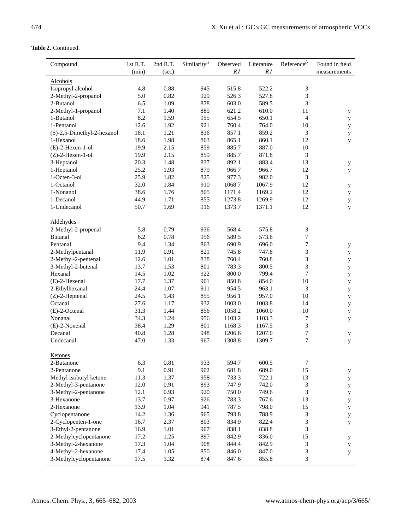| Compound                   | 1st R.T. | 2nd R.T. | Similarity <sup>a</sup> | Observed | Literature | Reference <sup>b</sup> | Found in field |
|----------------------------|----------|----------|-------------------------|----------|------------|------------------------|----------------|
|                            | (min)    | (sec)    |                         | RI       | RI         |                        | measurements   |
| Alcohols                   |          |          |                         |          |            |                        |                |
| Isopropyl alcohol          | 4.8      | 0.88     | 945                     | 515.8    | 522.2      | 3                      |                |
| 2-Methyl-2-propanol        | 5.0      | 0.82     | 929                     | 526.3    | 527.8      | 3                      |                |
| 2-Butanol                  | 6.5      | 1.09     | 878                     | 603.0    | 589.5      | 3                      |                |
| 2-Methyl-1-propanol        | 7.1      | 1.40     | 885                     | 621.2    | 610.0      | 11                     | y              |
| 1-Butanol                  | 8.2      | 1.59     | 955                     | 654.5    | 650.1      | $\overline{4}$         | $\mathbf y$    |
| 1-Pentanol                 | 12.6     | 1.92     | 921                     | 760.4    | 764.0      | 10                     | y              |
| (S)-2,5-Dimethyl-2-hexanol | 18.1     | 1.21     | 836                     | 857.1    | 859.2      | 3                      | ${\bf y}$      |
| 1-Hexanol                  | 18.6     | 1.98     | 863                     | 865.1    | 860.1      | 12                     | y              |
| $(E)-2$ -Hexen-1-ol        | 19.9     | 2.15     | 859                     | 885.7    | 887.0      | 10                     |                |
| $(Z)$ -2-Hexen-1-ol        | 19.9     | 2.15     | 859                     | 885.7    | 871.8      | 3                      |                |
| 3-Heptanol                 | 20.3     | 1.48     | 837                     | 892.1    | 883.4      | 13                     | y              |
| 1-Heptanol                 | 25.2     | 1.93     | 879                     | 966.7    | 966.7      | 12                     | $\mathbf y$    |
| 1-Octen-3-ol               | 25.9     | 1.82     | 825                     | 977.3    | 982.0      | 3                      |                |
| 1-Octanol                  | 32.0     | 1.84     | 910                     | 1068.7   | 1067.9     | 12                     | $\mathbf y$    |
| 1-Nonanol                  | 38.6     | 1.76     | 805                     | 1171.4   | 1169.2     | 12                     | $\mathbf y$    |
| 1-Decanol                  | 44.9     | 1.71     | 855                     | 1273.8   | 1269.9     | 12                     | y              |
| 1-Undecanol                | 50.7     | 1.69     | 916                     | 1373.7   | 1371.1     | 12                     | y              |
|                            |          |          |                         |          |            |                        |                |
| Aldehydes                  |          |          |                         |          |            |                        |                |
| 2-Methyl-2-propenal        | 5.8      | 0.79     | 936                     | 568.4    | 575.8      | 3                      |                |
| <b>Butanal</b>             | 6.2      | 0.78     | 956                     | 589.5    | 573.6      | 7                      |                |
| Pentanal                   | 9.4      | 1.34     | 863                     | 690.9    | 696.0      | 7                      | $\mathbf y$    |
| 2-Methylpentanal           | 11.9     | 0.91     | 821                     | 745.8    | 747.8      | 3                      | $\mathbf y$    |
| 2-Methyl-2-pentenal        | 12.6     | 1.01     | 838                     | 760.4    | 760.8      | 3                      | $\mathbf y$    |
| 3-Methyl-2-butenal         | 13.7     | 1.53     | 801                     | 783.3    | 800.5      | 3                      | ${\bf y}$      |
| Hexanal                    | 14.5     | 1.02     | 922                     | 800.0    | 799.4      | $\overline{7}$         | $\mathbf y$    |
| (E)-2-Hexenal              | 17.7     | 1.37     | 901                     | 850.8    | 854.0      | 10                     | $\mathbf y$    |
| 2-Ethylhexanal             | 24.4     | 1.07     | 911                     | 954.5    | 963.1      | 3                      | y              |
| (Z)-2-Heptenal             | 24.5     | 1.43     | 855                     | 956.1    | 957.0      | 10                     | $\mathbf y$    |
| Octanal                    | 27.6     | 1.17     | 932                     | 1003.0   | 1003.8     | 14                     | $\mathbf y$    |
| $(E)-2$ -Octenal           | 31.3     | 1.44     | 856                     | 1058.2   | 1060.0     | 10                     | $\mathbf y$    |
| Nonanal                    | 34.3     | 1.24     | 956                     | 1103.2   | 1103.3     | 7                      | y              |
| $(E)-2$ -Nonenal           | 38.4     | 1.29     | 801                     | 1168.3   | 1167.5     | 3                      |                |
| Decanal                    | 40.8     | 1.28     | 948                     | 1206.6   | 1207.0     | 7                      | ${\bf y}$      |
| Undecanal                  | 47.0     | 1.33     | 967                     | 1308.8   | 1309.7     | 7                      | y              |
|                            |          |          |                         |          |            |                        |                |
| Ketones                    |          |          |                         |          |            |                        |                |
| 2-Butanone                 | 6.3      | $0.81\,$ | 933                     | 594.7    | 600.5      | $\tau$                 |                |
| 2-Pentanone                | 9.1      | 0.91     | 902                     | 681.8    | 689.0      | 15                     | y              |
| Methyl isobutyl ketone     | 11.3     | 1.37     | 958                     | 733.3    | 722.1      | 13                     | $\mathbf y$    |
| 2-Methyl-3-pentanone       | 12.0     | 0.91     | 893                     | 747.9    | 742.0      | 3                      | $\mathbf y$    |
| 3-Methyl-2-pentanone       | 12.1     | 0.93     | 920                     | 750.0    | 749.6      | 3                      | y              |
| 3-Hexanone                 | 13.7     | 0.97     | 926                     | 783.3    | 767.6      | 13                     | ${\bf y}$      |
| 2-Hexanone                 | 13.9     | 1.04     | 941                     | 787.5    | 798.0      | 15                     | ${\bf y}$      |
| Cyclopentanone             | 14.2     | 1.36     | 965                     | 793.8    | 788.9      | 3                      | ${\bf y}$      |
| 2-Cyclopenten-1-one        | 16.7     | 2.37     | 803                     | 834.9    | 822.4      | 3                      | y              |
| 3-Ethyl-2-pentanone        | 16.9     | 1.01     | 907                     | 838.1    | 838.8      | $\mathfrak{Z}$         |                |
| 2-Methylcyclopentanone     | 17.2     | 1.25     | 897                     | 842.9    | 836.0      | 15                     | y              |
| 3-Methyl-2-hexanone        | 17.3     | 1.04     | 908                     | 844.4    | 842.9      | 3                      | y              |
| 4-Methyl-2-hexanone        | 17.4     | 1.05     | 850                     | 846.0    | 847.0      | 3                      | y              |
| 3-Methylcyclopentanone     | 17.5     | 1.32     | 874                     | 847.6    | 855.8      | 3                      |                |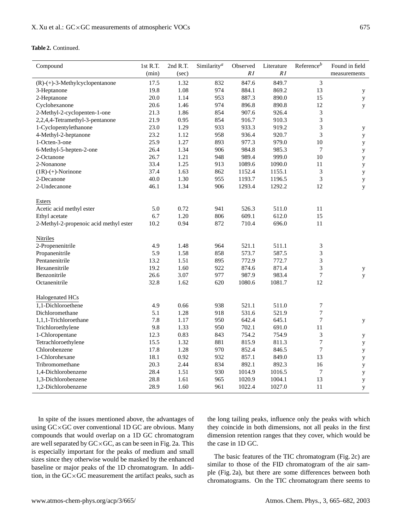| In spite of the issues mentioned above, the advantages of                |
|--------------------------------------------------------------------------|
| using $G C \times G C$ over conventional 1D $G C$ are obvious. Many      |
| compounds that would overlap on a 1D GC chromatogram                     |
| are well separated by $G C \times G C$ , as can be seen in Fig. 2a. This |
| is especially important for the peaks of medium and small                |
| sizes since they otherwise would be masked by the enhanced               |
| baseline or major peaks of the 1D chromatogram. In addi-                 |
| tion, in the $GC \times GC$ measurement the artifact peaks, such as      |

# they coincide in both dimensions, not all peaks in the first dimension retention ranges that they cover, which would be the case in 1D GC.

the long tailing peaks, influence only the peaks with which

The basic features of the TIC chromatogram (Fig. 2c) are similar to those of the FID chromatogram of the air sample (Fig. 2a), but there are some differences between both chromatograms. On the TIC chromatogram there seems to

| Compound                               | 1st R.T. | 2nd R.T. | Similarity <sup>a</sup> | Observed | Literature | Reference <sup>b</sup>      | Found in field |
|----------------------------------------|----------|----------|-------------------------|----------|------------|-----------------------------|----------------|
|                                        | (min)    | (sec)    |                         | R I      | R I        |                             | measurements   |
| $(R)-(+)$ -3-Methylcyclopentanone      | 17.5     | 1.32     | 832                     | 847.6    | 849.7      | $\ensuremath{\mathfrak{Z}}$ |                |
| 3-Heptanone                            | 19.8     | 1.08     | 974                     | 884.1    | 869.2      | 13                          | у              |
| 2-Heptanone                            | 20.0     | 1.14     | 953                     | 887.3    | 890.0      | 15                          | ${\bf y}$      |
| Cyclohexanone                          | 20.6     | 1.46     | 974                     | 896.8    | 890.8      | 12                          | $\mathbf y$    |
| 2-Methyl-2-cyclopenten-1-one           | 21.3     | 1.86     | 854                     | 907.6    | 926.4      | 3                           |                |
| 2,2,4,4-Tetramethyl-3-pentanone        | 21.9     | 0.95     | 854                     | 916.7    | 910.3      | 3                           |                |
| 1-Cyclopentylethanone                  | 23.0     | 1.29     | 933                     | 933.3    | 919.2      | 3                           | $\mathbf y$    |
| 4-Methyl-2-heptanone                   | 23.2     | 1.12     | 958                     | 936.4    | 920.7      | 3                           | ${\bf y}$      |
| 1-Octen-3-one                          | 25.9     | 1.27     | 893                     | 977.3    | 979.0      | 10                          | ${\bf y}$      |
| 6-Methyl-5-hepten-2-one                | 26.4     | 1.34     | 906                     | 984.8    | 985.3      | $\tau$                      | $\mathbf y$    |
| 2-Octanone                             | 26.7     | 1.21     | 948                     | 989.4    | 999.0      | 10                          | $\mathbf y$    |
| 2-Nonanone                             | 33.4     | 1.25     | 913                     | 1089.6   | 1090.0     | 11                          | y              |
| $(1R)-(+)$ -Norinone                   | 37.4     | 1.63     | 862                     | 1152.4   | 1155.1     | 3                           | $\mathbf y$    |
| 2-Decanone                             | 40.0     | 1.30     | 955                     | 1193.7   | 1196.5     | 3                           | y              |
| 2-Undecanone                           | 46.1     | 1.34     | 906                     | 1293.4   | 1292.2     | 12                          | У              |
|                                        |          |          |                         |          |            |                             |                |
| Esters                                 |          |          |                         |          |            |                             |                |
| Acetic acid methyl ester               | 5.0      | 0.72     | 941                     | 526.3    | 511.0      | 11                          |                |
| Ethyl acetate                          | 6.7      | 1.20     | 806                     | 609.1    | 612.0      | 15                          |                |
| 2-Methyl-2-propenoic acid methyl ester | 10.2     | 0.94     | 872                     | 710.4    | 696.0      | 11                          |                |
| Nitriles                               |          |          |                         |          |            |                             |                |
| 2-Propenenitrile                       | 4.9      | 1.48     | 964                     | 521.1    | 511.1      | 3                           |                |
| Propanenitrile                         | 5.9      | 1.58     | 858                     | 573.7    | 587.5      | 3                           |                |
| Pentanenitrile                         | 13.2     | 1.51     | 895                     | 772.9    | 772.7      | 3                           |                |
| Hexanenitrile                          | 19.2     | 1.60     | 922                     | 874.6    | 871.4      | 3                           | у              |
| Benzonitrile                           | 26.6     | 3.07     | 977                     | 987.9    | 983.4      | $\boldsymbol{7}$            | У              |
| Octanenitrile                          | 32.8     | 1.62     | 620                     | 1080.6   | 1081.7     | 12                          |                |
|                                        |          |          |                         |          |            |                             |                |
| Halogenated HCs                        |          |          |                         |          |            |                             |                |
| 1,1-Dichloroethene                     | 4.9      | 0.66     | 938                     | 521.1    | 511.0      | 7                           |                |
| Dichloromethane                        | 5.1      | 1.28     | 918                     | 531.6    | 521.9      | 7                           |                |
| 1,1,1-Trichloroethane                  | 7.8      | 1.17     | 950                     | 642.4    | 645.1      | $\overline{7}$              | y              |
| Trichloroethylene                      | 9.8      | 1.33     | 950                     | 702.1    | 691.0      | 11                          |                |
| 1-Chloropentane                        | 12.3     | 0.83     | 843                     | 754.2    | 754.9      | 3                           | $\mathbf y$    |
| Tetrachloroethylene                    | 15.5     | 1.32     | 881                     | 815.9    | 811.3      | $\overline{7}$              | y              |
| Chlorobenzene                          | 17.8     | 1.28     | 970                     | 852.4    | 846.5      | $\boldsymbol{7}$            | ${\bf y}$      |
| 1-Chlorohexane                         | 18.1     | 0.92     | 932                     | 857.1    | 849.0      | 13                          | y              |
| Tribromomethane                        | 20.3     | 2.44     | 834                     | 892.1    | 892.3      | 16                          | $\mathbf y$    |
| 1,4-Dichlorobenzene                    | 28.4     | 1.51     | 930                     | 1014.9   | 1016.5     | $\boldsymbol{7}$            | y              |
| 1,3-Dichlorobenzene                    | 28.8     | 1.61     | 965                     | 1020.9   | 1004.1     | 13                          | ${\bf y}$      |
| 1,2-Dichlorobenzene                    | 28.9     | 1.60     | 961                     | 1022.4   | 1027.0     | 11                          | y              |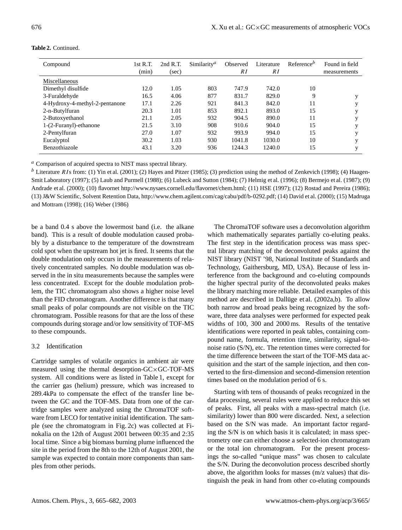| Compound                       | $1st$ R.T.<br>(min) | 2nd $R.T.$<br>(sec) | Similarity <sup><i>a</i></sup> | Observed<br>RI | Literature<br>R1 | Reference <sup>b</sup> | Found in field<br>measurements |
|--------------------------------|---------------------|---------------------|--------------------------------|----------------|------------------|------------------------|--------------------------------|
| Miscellaneous                  |                     |                     |                                |                |                  |                        |                                |
| Dimethyl disulfide             | 12.0                | 1.05                | 803                            | 747.9          | 742.0            | 10                     |                                |
| 3-Furaldehyde                  | 16.5                | 4.06                | 877                            | 831.7          | 829.0            | 9                      |                                |
| 4-Hydroxy-4-methyl-2-pentanone | 17.1                | 2.26                | 921                            | 841.3          | 842.0            | 11                     |                                |
| 2-n-Butylfuran                 | 20.3                | 1.01                | 853                            | 892.1          | 893.0            | 15                     | v                              |
| 2-Butoxyethanol                | 21.1                | 2.05                | 932                            | 904.5          | 890.0            | 11                     | $\mathbf{V}$                   |
| 1-(2-Furanyl)-ethanone         | 21.5                | 3.10                | 908                            | 910.6          | 904.0            | 15                     | $\mathbf{V}$                   |
| 2-Pentylfuran                  | 27.0                | 1.07                | 932                            | 993.9          | 994.0            | 15                     | $\mathbf{V}$                   |
| Eucalyptol                     | 30.2                | 1.03                | 930                            | 1041.8         | 1030.0           | 10                     |                                |
| Benzothiazole                  | 43.1                | 3.20                | 936                            | 1244.3         | 1240.0           | 15                     |                                |

 $a$  Comparison of acquired spectra to NIST mass spectral library.

<sup>b</sup> Literature RIs from: (1) Yin et al. (2001); (2) Hayes and Pitzer (1985); (3) prediction using the method of Zenkevich (1998); (4) Haagen-Smit Laboratory (1997); (5) Laub and Purmell (1988); (6) Lubeck and Sutton (1984); (7) Helmig et al. (1996); (8) Bermejo et al. (1987); (9) Andrade et al. (2000); (10) flavornet http://www.nysaes.cornell.edu/flavornet/chem.html; (11) HSE (1997); (12) Rostad and Pereira (1986); (13) J&W Scientific, Solvent Retention Data, http://www.chem.agilent.com/cag/cabu/pdf/b-0292.pdf; (14) David et al. (2000); (15) Madruga and Mottram (1998); (16) Weber (1986)

be a band 0.4 s above the lowermost band (i.e. the alkane band). This is a result of double modulation caused probably by a disturbance to the temperature of the downstream cold spot when the upstream hot jet is fired. It seems that the double modulation only occurs in the measurements of relatively concentrated samples. No double modulation was observed in the in situ measurements because the samples were less concentrated. Except for the double modulation problem, the TIC chromatogram also shows a higher noise level than the FID chromatogram. Another difference is that many small peaks of polar compounds are not visible on the TIC chromatogram. Possible reasons for that are the loss of these compounds during storage and/or low sensitivity of TOF-MS to these compounds.

# 3.2 Identification

Cartridge samples of volatile organics in ambient air were measured using the thermal desorption-GC×GC-TOF-MS system. All conditions were as listed in Table 1, except for the carrier gas (helium) pressure, which was increased to 289.4kPa to compensate the effect of the transfer line between the GC and the TOF-MS. Data from one of the cartridge samples were analyzed using the ChromaTOF software from LECO for tentative initial identification. The sample (see the chromatogram in Fig. 2c) was collected at Finokalia on the 12th of August 2001 between 00:35 and 2:35 local time. Since a big biomass burning plume influenced the site in the period from the 8th to the 12th of August 2001, the sample was expected to contain more components than samples from other periods.

The ChromaTOF software uses a deconvolution algorithm which mathematically separates partially co-eluting peaks. The first step in the identification process was mass spectral library matching of the deconvoluted peaks against the NIST library (NIST '98, National Institute of Standards and Technology, Gaithersburg, MD, USA). Because of less interference from the background and co-eluting compounds the higher spectral purity of the deconvoluted peaks makes the library matching more reliable. Detailed examples of this method are described in Dalluge et al. (2002a,b). To allow both narrow and broad peaks being recognized by the software, three data analyses were performed for expected peak widths of 100, 300 and 2000 ms. Results of the tentative identifications were reported in peak tables, containing compound name, formula, retention time, similarity, signal-tonoise ratio (S/N), etc. The retention times were corrected for the time difference between the start of the TOF-MS data acquisition and the start of the sample injection, and then converted to the first-dimension and second-dimension retention times based on the modulation period of 6 s.

Starting with tens of thousands of peaks recognized in the data processing, several rules were applied to reduce this set of peaks. First, all peaks with a mass-spectral match (i.e. similarity) lower than 800 were discarded. Next, a selection based on the S/N was made. An important factor regarding the S/N is on which basis it is calculated; in mass spectrometry one can either choose a selected-ion chromatogram or the total ion chromatogram. For the present processings the so-called "unique mass" was chosen to calculate the S/N. During the deconvolution process described shortly above, the algorithm looks for masses (m/z values) that distinguish the peak in hand from other co-eluting compounds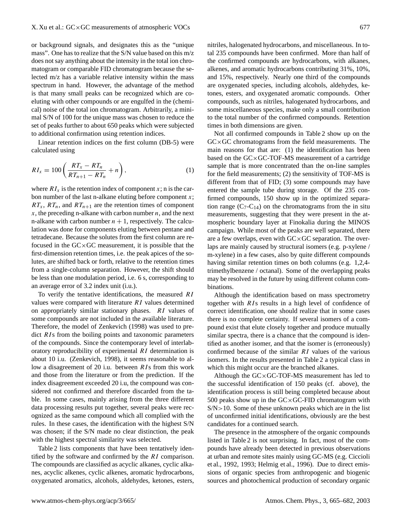or background signals, and designates this as the "unique mass". One has to realize that the S/N value based on this m/z does not say anything about the intensity in the total ion chromatogram or comparable FID chromatogram because the selected m/z has a variable relative intensity within the mass spectrum in hand. However, the advantage of the method is that many small peaks can be recognized which are coeluting with other compounds or are engulfed in the (chemical) noise of the total ion chromatogram. Arbitrarily, a minimal S/N of 100 for the unique mass was chosen to reduce the set of peaks further to about 650 peaks which were subjected to additional confirmation using retention indices.

Linear retention indices on the first column (DB-5) were calculated using

$$
RI_x = 100\left(\frac{RT_x - RT_n}{RT_{n+1} - RT_n} + n\right),\tag{1}
$$

where  $RI_x$  is the retention index of component x; n is the carbon number of the last n-alkane eluting before component  $x$ ;  $RT_x$ ,  $RT_n$ , and  $RT_{n+1}$  are the retention times of component  $x$ , the preceding n-alkane with carbon number  $n$ , and the next n-alkane with carbon number  $n + 1$ , respectively. The calculation was done for components eluting between pentane and tetradecane. Because the solutes from the first column are refocused in the  $GC \times GC$  measurement, it is possible that the first-dimension retention times, i.e. the peak apices of the solutes, are shifted back or forth, relative to the retention times from a single-column separation. However, the shift should be less than one modulation period, i.e. 6 s, corresponding to an average error of 3.2 index unit (i.u.).

To verify the tentative identifications, the measured RI values were compared with literature  $RI$  values determined on appropriately similar stationary phases. RI values of some compounds are not included in the available literature. Therefore, the model of Zenkevich (1998) was used to predict  $RIs$  from the boiling points and taxonomic parameters of the compounds. Since the contemporary level of interlaboratory reproducibility of experimental RI determination is about 10 i.u. (Zenkevich, 1998), it seems reasonable to allow a disagreement of 20 i.u. between  $RIs$  from this work and those from the literature or from the prediction. If the index disagreement exceeded 20 i.u, the compound was considered not confirmed and therefore discarded from the table. In some cases, mainly arising from the three different data processing results put together, several peaks were recognized as the same compound which all complied with the rules. In these cases, the identification with the highest S/N was chosen; if the S/N made no clear distinction, the peak with the highest spectral similarity was selected.

Table 2 lists components that have been tentatively identified by the software and confirmed by the RI comparison. The compounds are classified as acyclic alkanes, cyclic alkanes, acyclic alkenes, cyclic alkenes, aromatic hydrocarbons, oxygenated aromatics, alcohols, aldehydes, ketones, esters, nitriles, halogenated hydrocarbons, and miscellaneous. In total 235 compounds have been confirmed. More than half of the confirmed compounds are hydrocarbons, with alkanes, alkenes, and aromatic hydrocarbons contributing 31%, 10%, and 15%, respectively. Nearly one third of the compounds are oxygenated species, including alcohols, aldehydes, ketones, esters, and oxygenated aromatic compounds. Other compounds, such as nitriles, halogenated hydrocarbons, and some miscellaneous species, make only a small contribution to the total number of the confirmed compounds. Retention times in both dimensions are given.

Not all confirmed compounds in Table 2 show up on the  $GC \times GC$  chromatograms from the field measurements. The main reasons for that are: (1) the identification has been based on the GC×GC-TOF-MS measurement of a cartridge sample that is more concentrated than the on-line samples for the field measurements; (2) the sensitivity of TOF-MS is different from that of FID; (3) some compounds may have entered the sample tube during storage. Of the 235 confirmed compounds, 150 show up in the optimized separation range  $(C_7-C_{14})$  on the chromatograms from the in situ measurements, suggesting that they were present in the atmospheric boundary layer at Finokalia during the MINOS campaign. While most of the peaks are well separated, there are a few overlaps, even with  $GC \times GC$  separation. The overlaps are mainly caused by structural isomers (e.g. p-xylene / m-xylene) in a few cases, also by quite different compounds having similar retention times on both columns (e.g. 1,2,4 trimethylbenzene / octanal). Some of the overlapping peaks may be resolved in the future by using different column combinations.

Although the identification based on mass spectrometry together with  $RIs$  results in a high level of confidence of correct identification, one should realize that in some cases there is no complete certainty. If several isomers of a compound exist that elute closely together and produce mutually similar spectra, there is a chance that the compound is identified as another isomer, and that the isomer is (erroneously) confirmed because of the similar RI values of the various isomers. In the results presented in Table 2 a typical class in which this might occur are the branched alkanes.

Although the  $GC \times GC$ -TOF-MS measurement has led to the successful identification of 150 peaks (cf. above), the identification process is still being completed because about 500 peaks show up in the  $GC \times GC$ -FID chromatogram with  $S/N>10$ . Some of these unknown peaks which are in the list of unconfirmed initial identifications, obviously are the best candidates for a continued search.

The presence in the atmosphere of the organic compounds listed in Table 2 is not surprising. In fact, most of the compounds have already been detected in previous observations at urban and remote sites mainly using GC-MS (e.g. Ciccioli et al., 1992, 1993; Helmig et al., 1996). Due to direct emissions of organic species from anthropogenic and biogenic sources and photochemical production of secondary organic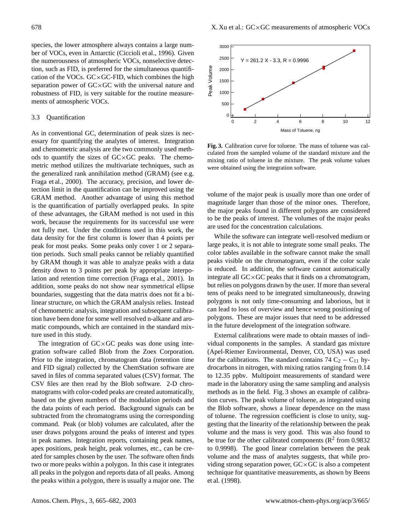species, the lower atmosphere always contains a large number of VOCs, even in Antarctic (Ciccioli et al., 1996). Given the numerousness of atmospheric VOCs, nonselective detection, such as FID, is preferred for the simultaneous quantification of the VOCs.  $G C \times G C$ -FID, which combines the high separation power of GC×GC with the universal nature and robustness of FID, is very suitable for the routine measurements of atmospheric VOCs.

## 3.3 Quantification

As in conventional GC, determination of peak sizes is necessary for quantifying the analytes of interest. Integration and chemometric analysis are the two commonly used methods to quantify the sizes of  $G C \times G C$  peaks. The chemometric method utilizes the multivariate techniques, such as the generalized rank annihilation method (GRAM) (see e.g. Fraga et al., 2000). The accuracy, precision, and lower detection limit in the quantification can be improved using the GRAM method. Another advantage of using this method is the quantification of partially overlapped peaks. In spite of these advantages, the GRAM method is not used in this work, because the requirements for its successful use were not fully met. Under the conditions used in this work, the data density for the first column is lower than 4 points per peak for most peaks. Some peaks only cover 1 or 2 separation periods. Such small peaks cannot be reliably quantified by GRAM though it was able to analyze peaks with a data density down to 3 points per peak by appropriate interpolation and retention time correction (Fraga et al., 2001). In addition, some peaks do not show near symmetrical ellipse boundaries, suggesting that the data matrix does not fit a bilinear structure, on which the GRAM analysis relies. Instead of chemometric analysis, integration and subsequent calibration have been done for some well resolved n-alkane and aromatic compounds, which are contained in the standard mixture used in this study.

The integration of  $G C \times G C$  peaks was done using integration software called Blob from the Zoex Corporation. Prior to the integration, chromatogram data (retention time and FID signal) collected by the ChemStation software are saved in files of comma separated values (CSV) format. The CSV files are then read by the Blob software. 2-D chromatograms with color-coded peaks are created automatically, based on the given numbers of the modulation periods and the data points of each period. Background signals can be subtracted from the chromatograms using the corresponding command. Peak (or blob) volumes are calculated, after the user draws polygons around the peaks of interest and types in peak names. Integration reports, containing peak names, apex positions, peak height, peak volumes, etc., can be created for samples chosen by the user. The software often finds two or more peaks within a polygon. In this case it integrates all peaks in the polygon and reports data of all peaks. Among the peaks within a polygon, there is usually a major one. The



**Fig. 3.** Calibration curve for toluene. The mass of toluene was calculated from the sampled volume of the standard mixture and the mixing ratio of toluene in the mixture. The peak volume values were obtained using the integration software.

volume of the major peak is usually more than one order of magnitude larger than those of the minor ones. Therefore, the major peaks found in different polygons are considered to be the peaks of interest. The volumes of the major peaks are used for the concentration calculations.

While the software can integrate well-resolved medium or large peaks, it is not able to integrate some small peaks. The color tables available in the software cannot make the small peaks visible on the chromatogram, even if the color scale is reduced. In addition, the software cannot automatically integrate all  $GC \times GC$  peaks that it finds on a chromatogram, but relies on polygons drawn by the user. If more than several tens of peaks need to be integrated simultaneously, drawing polygons is not only time-consuming and laborious, but it can lead to loss of overview and hence wrong positioning of polygons. These are major issues that need to be addressed in the future development of the integration software.

External calibrations were made to obtain masses of individual components in the samples. A standard gas mixture (Apel-Riemer Environmental, Denver, CO, USA) was used for the calibrations. The standard contains 74  $C_2 - C_{11}$  hydrocarbons in nitrogen, with mixing ratios ranging from 0.14 to 12.35 ppbv. Multipoint measurements of standard were made in the laboratory using the same sampling and analysis methods as in the field. Fig. 3 shows an example of calibration curves. The peak volume of toluene, as integrated using the Blob software, shows a linear dependence on the mass of toluene. The regression coefficient is close to unity, suggesting that the linearity of the relationship between the peak volume and the mass is very good. This was also found to be true for the other calibrated components ( $\mathbb{R}^2$  from 0.9832 to 0.9998). The good linear correlation between the peak volume and the mass of analytes suggests, that while providing strong separation power,  $GC \times GC$  is also a competent technique for quantitative measurements, as shown by Beens et al. (1998).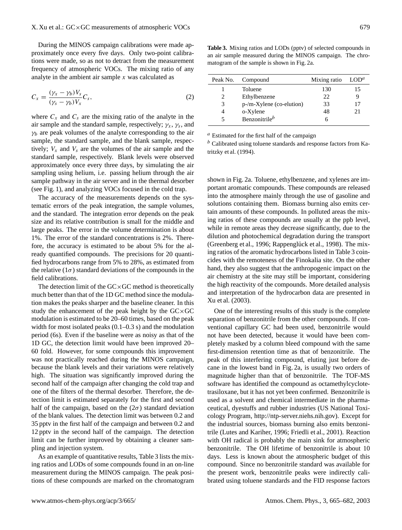During the MINOS campaign calibrations were made approximately once every five days. Only two-point calibrations were made, so as not to detract from the measurement frequency of atmospheric VOCs. The mixing ratio of any analyte in the ambient air sample  $x$  was calculated as

$$
C_x = \frac{(\gamma_x - \gamma_b)V_s}{(\gamma_s - \gamma_b)V_x}C_s,
$$
\n(2)

where  $C_x$  and  $C_s$  are the mixing ratio of the analyte in the air sample and the standard sample, respectively;  $\gamma_x$ ,  $\gamma_s$ , and  $\gamma_b$  are peak volumes of the analyte corresponding to the air sample, the standard sample, and the blank sample, respectively;  $V_x$  and  $V_s$  are the volumes of the air sample and the standard sample, respectively. Blank levels were observed approximately once every three days, by simulating the air sampling using helium, i.e. passing helium through the air sample pathway in the air server and in the thermal desorber (see Fig. 1), and analyzing VOCs focused in the cold trap.

The accuracy of the measurements depends on the systematic errors of the peak integration, the sample volumes, and the standard. The integration error depends on the peak size and its relative contribution is small for the middle and large peaks. The error in the volume determination is about 1%. The error of the standard concentrations is 2%. Therefore, the accuracy is estimated to be about 5% for the already quantified compounds. The precisions for 20 quantified hydrocarbons range from 5% to 28%, as estimated from the relative  $(1\sigma)$  standard deviations of the compounds in the field calibrations.

The detection limit of the  $GC \times GC$  method is theoretically much better than that of the 1D GC method since the modulation makes the peaks sharper and the baseline cleaner. In this study the enhancement of the peak height by the  $G C \times G C$ modulation is estimated to be 20–60 times, based on the peak width for most isolated peaks  $(0.1–0.3 \text{ s})$  and the modulation period (6s). Even if the baseline were as noisy as that of the 1D GC, the detection limit would have been improved 20– 60 fold. However, for some compounds this improvement was not practically reached during the MINOS campaign, because the blank levels and their variations were relatively high. The situation was significantly improved during the second half of the campaign after changing the cold trap and one of the filters of the thermal desorber. Therefore, the detection limit is estimated separately for the first and second half of the campaign, based on the  $(2\sigma)$  standard deviation of the blank values. The detection limit was between 0.2 and 35 pptv in the first half of the campaign and between 0.2 and 12 pptv in the second half of the campaign. The detection limit can be further improved by obtaining a cleaner sampling and injection system.

As an example of quantitative results, Table 3 lists the mixing ratios and LODs of some compounds found in an on-line measurement during the MINOS campaign. The peak positions of these compounds are marked on the chromatogram

**Table 3.** Mixing ratios and LODs (pptv) of selected compounds in an air sample measured during the MINOS campaign. The chromatogram of the sample is shown in Fig. 2a.

| Peak No. | Compound                    | Mixing ratio | $\text{LOD}^a$ |
|----------|-----------------------------|--------------|----------------|
|          | Toluene                     | 130          | 15             |
| 2        | Ethylbenzene                | 22           |                |
| 3        | $p$ -/m-Xylene (co-elution) | 33           |                |
|          | o-Xylene                    | 48           | 21             |
|          | Benzonitrile <sup>b</sup>   | 6            |                |
|          |                             |              |                |

 $a$  Estimated for the first half of the campaign

 $<sup>b</sup>$  Calibrated using toluene standards and response factors from Ka-</sup> tritzky et al. (1994).

shown in Fig. 2a. Toluene, ethylbenzene, and xylenes are important aromatic compounds. These compounds are released into the atmosphere mainly through the use of gasoline and solutions containing them. Biomass burning also emits certain amounts of these compounds. In polluted areas the mixing ratios of these compounds are usually at the ppb level, while in remote areas they decrease significantly, due to the dilution and photochemical degradation during the transport (Greenberg et al., 1996; Rappenglück et al., 1998). The mixing ratios of the aromatic hydrocarbons listed in Table 3 coincides with the remoteness of the Finokalia site. On the other hand, they also suggest that the anthropogenic impact on the air chemistry at the site may still be important, considering the high reactivity of the compounds. More detailed analysis and interpretation of the hydrocarbon data are presented in Xu et al. (2003).

One of the interesting results of this study is the complete separation of benzonitrile from the other compounds. If conventional capillary GC had been used, benzonitrile would not have been detected, because it would have been completely masked by a column bleed compound with the same first-dimension retention time as that of benzonitrile. The peak of this interfering compound, eluting just before decane in the lowest band in Fig. 2a, is usually two orders of magnitude higher than that of benzonitrile. The TOF-MS software has identified the compound as octamethylcyclotetrasiloxane, but it has not yet been confirmed. Benzonitrile is used as a solvent and chemical intermediate in the pharmaceutical, dyestuffs and rubber industries (US National Toxicology Program, http://ntp-server.niehs.nih.gov). Except for the industrial sources, biomass burning also emits benzonitrile (Lutes and Kariher, 1996; Friedli et al., 2001). Reaction with OH radical is probably the main sink for atmospheric benzonitrile. The OH lifetime of benzonitrile is about 10 days. Less is known about the atmospheric budget of this compound. Since no benzonitrile standard was available for the present work, benzonitrile peaks were indirectly calibrated using toluene standards and the FID response factors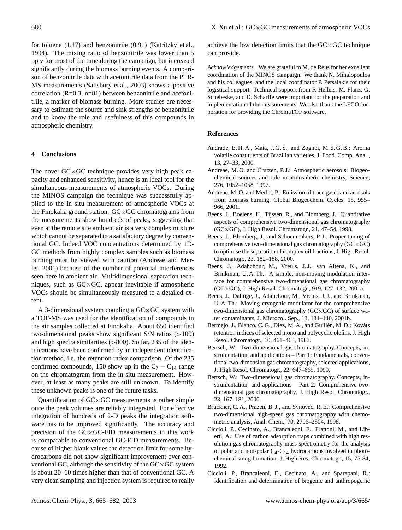for toluene (1.17) and benzonitrile (0.91) (Katritzky et al., 1994). The mixing ratio of benzonitrile was lower than 5 pptv for most of the time during the campaign, but increased significantly during the biomass burning events. A comparison of benzonitrile data with acetonitrile data from the PTR-MS measurements (Salisbury et al., 2003) shows a positive correlation (R=0.3, n=81) between benzonitrile and acetonitrile, a marker of biomass burning. More studies are necessary to estimate the source and sink strengths of benzonitrile and to know the role and usefulness of this compounds in atmospheric chemistry.

#### **4 Conclusions**

The novel  $GC \times GC$  technique provides very high peak capacity and enhanced sensitivity, hence is an ideal tool for the simultaneous measurements of atmospheric VOCs. During the MINOS campaign the technique was successfully applied to the in situ measurement of atmospheric VOCs at the Finokalia ground station.  $G C \times G C$  chromatograms from the measurements show hundreds of peaks, suggesting that even at the remote site ambient air is a very complex mixture which cannot be separated to a satisfactory degree by conventional GC. Indeed VOC concentrations determined by 1D-GC methods from highly complex samples such as biomass burning must be viewed with caution (Andreae and Merlet, 2001) because of the number of potential interferences seen here in ambient air. Multidimensional separation techniques, such as  $GC \times GC$ , appear inevitable if atmospheric VOCs should be simultaneously measured to a detailed extent.

A 3-dimensional system coupling a  $GC \times GC$  system with a TOF-MS was used for the identification of compounds in the air samples collected at Finokalia. About 650 identified two-dimensional peaks show significant  $S/N$  ratios ( $>100$ ) and high spectra similarities  $(>800)$ . So far, 235 of the identifications have been confirmed by an independent identification method, i.e. the retention index comparison. Of the 235 confirmed compounds, 150 show up in the  $C_7 - C_{14}$  range on the chromatogram from the in situ measurement. However, at least as many peaks are still unknown. To identify these unknown peaks is one of the future tasks.

Quantification of  $G C \times G C$  measurements is rather simple once the peak volumes are reliably integrated. For effective integration of hundreds of 2-D peaks the integration software has to be improved significantly. The accuracy and precision of the GC×GC-FID measurements in this work is comparable to conventional GC-FID measurements. Because of higher blank values the detection limit for some hydrocarbons did not show significant improvement over conventional GC, although the sensitivity of the  $G C \times G C$  system is about 20–60 times higher than that of conventional GC. A very clean sampling and injection system is required to really

achieve the low detection limits that the  $G C \times G C$  technique can provide.

*Acknowledgements.* We are grateful to M. de Reus for her excellent coordination of the MINOS campaign. We thank N. Mihalopoulos and his colleagues, and the local coordinator P. Petsalakis for their logistical support. Technical support from F. Helleis, M. Flanz, G. Schebeske, and D. Scharffe were important for the preparation and implementation of the measurements. We also thank the LECO corporation for providing the ChromaTOF software.

#### **References**

- Andrade, E. H. A., Maia, J. G. S., and Zoghbi, M. d. G. B.: Aroma volatile constituents of Brazilian varieties, J. Food. Comp. Anal., 13, 27–33, 2000.
- Andreae, M. O. and Crutzen, P. J.: Atmospheric aerosols: Biogeochemical sources and role in atmospheric chemistry, Science, 276, 1052–1058, 1997.
- Andreae, M. O. and Merlet, P.: Emission of trace gases and aerosols from biomass burning, Global Biogeochem. Cycles, 15, 955– 966, 2001.
- Beens, J., Boelens, H., Tijssen, R., and Blomberg, J.: Quantitative aspects of comprehensive two-dimensional gas chromatography (GC×GC), J. High Resol. Chromatogr., 21, 47–54, 1998.
- Beens, J., Blomberg, J., and Schoenmakers, P. J.: Proper tuning of comprehensive two-dimensional gas chromatography  $(GC \times GC)$ to optimise the separation of complex oil fractions, J. High Resol. Chromatogr., 23, 182–188, 2000.
- Beens, J., Adahchour, M., Vreuls, J. J., van Altena, K., and Brinkman, U. A. Th.: A simple, non-moving modulation interface for comprehensive two-dimensional gas chromatography (GC×GC), J. High Resol. Chromatogr., 919, 127–132, 2001a.
- Beens, J., Dallüge, J., Adahchour, M., Vreuls, J.J., and Brinkman, U. A. Th.: Moving cryogenic modulator for the comprehensive two-dimensional gas chromatography  $(GC \times GC)$  of surface water contaminants, J. Microcol. Sep., 13, 134–140, 2001b.
- Bermejo, J., Blanco, C. G., Diez, M. A., and Guillén, M. D.: Kováts retention indices of selected mono and polycyclic olefins, J. High Resol. Chromatogr., 10, 461–463, 1987.
- Bertsch, W.: Two-dimensional gas chromatography. Concepts, instrumentation, and applications – Part 1: Fundamentals, conventional two-dimension gas chromatography, selected applications, J. High Resol. Chromatogr., 22, 647–665, 1999.
- Bertsch, W.: Two-dimensional gas chromatography. Concepts, instrumentation, and applications – Part 2: Comprehensive twodimensional gas chromatography, J. High Resol. Chromatogr., 23, 167–181, 2000.
- Bruckner, C. A., Prazen, B. J., and Synovec, R. E.: Comprehensive two-dimensional high-speed gas chromatography with chemometric analysis, Anal. Chem., 70, 2796–2804, 1998.
- Ciccioli, P., Cecinato, A., Brancaleoni, E., Frattoni, M., and Liberti, A.: Use of carbon adsorption traps combined with high resolution gas chromatography-mass spectrometry for the analysis of polar and non-polar  $C_4$ - $C_{14}$  hydrocarbons involved in photochemical smog formation, J. High Res. Chromatogr., 15, 75-84, 1992.
- Ciccioli, P., Brancaleoni, E., Cecinato, A., and Sparapani, R.: Identification and determination of biogenic and anthropogenic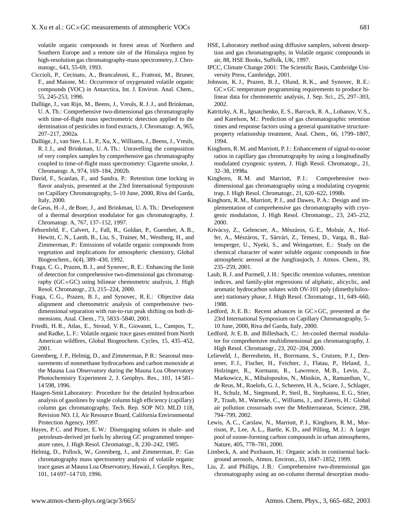volatile organic compounds in forest areas of Northern and Southern Europe and a remote site of the Himalaya region by high-resolution gas chromatography-mass spectrometry, J. Chromatogr., 643, 55-69, 1993.

- Ciccioli, P., Cecinato, A., Brancaleoni, E., Frattoni, M., Bruner, F., and Maione, M.: Occurrence of oxygenated volatile organic compounds (VOC) in Antarctica, Int. J. Environ. Anal. Chem., 55, 245-253, 1996.
- Dallüge, J., van Rijn, M., Beens, J., Vreuls, R. J. J., and Brinkman, U. A. Th.: Comprehensive two-dimensional gas chromatography with time-of-flight mass spectrometric detection applied to the dermination of pesticides in food extracts, J. Chromatogr. A, 965, 207–217, 2002a.
- Dallüge, J., van Stee, L. L. P., Xu, X., Williams, J., Beens, J., Vreuls, R. J. J., and Brinkman, U. A. Th.: Unravelling the composition of very complex samples by comprehensive gas chromatography coupled to time-of-flight mass spectrometry: Cigarette smoke, J. Chromatogr. A, 974, 169–184, 2002b.
- David, F., Scanlan, F., and Sandra, P.: Retention time locking in flavor analysis, presented at the 23rd International Symposium on Capillary Chromatography, 5–10 June, 2000, Riva del Garda, Italy, 2000.
- de Geus, H.-J., de Boer, J., and Brinkman, U. A. Th.: Development of a thermal desorption modulator for gas chromatography, J. Chromatogr. A, 767, 137–152, 1997.
- Fehsenfeld, F., Calvert, J., Fall, R., Goldan, P., Guenther, A. B., Hewitt, C. N., Lamb, B., Liu, S., Trainer, M., Westberg, H., and Zimmerman, P.: Emissions of volatile organic compounds from vegetation and implications for atmospheric chemistry, Global Biogeochem., 6(4), 389–430, 1992.
- Fraga, C. G., Prazen, B. J., and Synovec, R. E.: Enhancing the limit of detection for comprehensive two-dimensional gas chromatography  $(GC \times GC)$  using bilinear chemometric analysis, J. High Resol. Chromatogr., 23, 215–224, 2000.
- Fraga, C. G., Prazen, B. J., and Synovec, R. E.: Objective data alignment and chemometric analysis of comprehensive twodimensional separation with run-to-run peak shifting on both dimensions, Anal. Chem., 73, 5833–5840, 2001.
- Friedli, H. R., Atlas, E., Stroud, V. R., Giovanni, L., Campos, T., and Radke, L. F.: Volatile organic trace gases emitted from North American wildfires, Global Biogeochem. Cycles, 15, 435–452, 2001.
- Greenberg, J. P., Helmig, D., and Zimmerman, P. R.: Seasonal measurements of nonmethane hydrocarbons and carbon monoxide at the Mauna Loa Observatory during the Mauna Loa Observatory Photochemistry Experiment 2, J. Geophys. Res., 101, 14 581– 14 598, 1996.
- Haagen-Smit Laboratory: Procedure for the detailed hydrocarbon analysis of gasolines by single column high efficiency (capillary) column gas chromatography, Tech. Rep. SOP NO. MLD 118, Revision NO. I.I, Air Resource Board, California Environmental Protection Agency, 1997.
- Hayes, P.C. and Pitzer, E.W.: Disengaging solutes in shale- and petroleum-derived jet fuels by altering GC programmed temperature rates, J. High Resol. Chromatogr., 8, 230–242, 1985.
- Helmig, D., Pollock, W., Greenberg, J., and Zimmerman, P.: Gas chromatography mass spectrometry analysis of volatile organic trace gases at Mauna Loa Observatory, Hawaii, J. Geophys. Res., 101, 14 697–14 710, 1996.
- HSE, Laboratory method using diffusive samplers, solvent desorption and gas chromatography, in Volatile organic compounds in air, 88, HSE Books, Suffolk, UK, 1997.
- IPCC, Climate Change 2001: The Scientific Basis, Cambridge University Press, Cambridge, 2001.
- Johnson, K. J., Prazen, B. J., Olund, R. K., and Synovec, R. E.: GC×GC temperature programming requirements to produce bilinear data for chemometric analysis, J. Sep. Sci., 25, 297–303, 2002.
- Katritzky, A. R., Ignatchenko, E. S., Barcock, R. A., Lobanov, V. S., and Karelson, M.: Prediction of gas chromatographic retention times and response factors using a general quantitative structureproperty relationship treatment, Anal. Chem., 66, 1799–1807, 1994.
- Kinghorn, R. M. and Marriott, P. J.: Enhancement of signal-to-noise ratios in capillary gas chromatography by using a longitudinally modulated cryogenic system, J. High Resol. Chromatogr., 21, 32–38, 1998a.
- Kinghorn, R.M. and Marriott, P.J.: Comprehensive twodimensional gas chromatography using a modulating cryogenic trap, J. High Resol. Chromatogr., 21, 620–622, 1998b.
- Kinghorn, R. M., Marriott, P. J., and Dawes, P. A.: Design and implementation of comprehensive gas chromatography with cryogenic modulation, J. High Resol. Chromatogr., 23, 245–252, 2000.
- Krivácsy, Z., Gelencser, A., Mészáros, G. E., Molnár, A., Hoffer, A., Mészáros, T., Sárvári, Z., Temesi, D., Varga, B., Baltensperger, U., Nyeki, S., and Weingartner, E.: Study on the chemical character of water soluble organic compounds in fine atmospheric aerosol at the Jungfraujoch, J. Atmos. Chem., 39, 235–259, 2001.
- Laub, R. J. and Purmell, J. H.: Specific retention volumes, retention indices, and family-plot regressions of aliphatic, alicyclic, and aromatic hydrocarbon solutes with OV-101 poly (dimethylsiloxane) stationary phase, J. High Resol. Chromatogr., 11, 649–660, 1988.
- Ledford, Jr. E. B.: Recent advances in GC×GC, presented at the 23rd International Symposium on Capillary Chromatography, 5– 10 June, 2000, Riva del Garda, Italy, 2000.
- Ledford, Jr. E. B. and Billesbach, C.: Jet-cooled thermal modulator for comprehensive multidimensional gas chromatography, J. High Resol. Chromatogr., 23, 202–204, 2000.
- Lelieveld, J., Berresheim, H., Borrmann, S., Crutzen, P. J., Dentener, F.J., Fischer, H., Feichter, J., Flatau, P., Heland, J., Holzinger, R., Kormann, R., Lawrence, M. B., Levin, Z., Markowicz, K., Mihalopoulos, N., Minikin, A., Ramanthan, V., de Reus, M., Roelofs, G. J., Scheeren, H. A., Sciare, J., Schlager, H., Schulz, M., Siegmund, P., Steil, B., Stephanou, E. G., Stier, P., Traub, M., Warneke, C., Williams, J., and Ziereis, H.: Global air pollution crossroads over the Mediterranean, Science, 298, 794–799, 2002.
- Lewis, A. C., Carslaw, N., Marriott, P. J., Kinghorn, R. M., Morrison, P., Lee, A. L., Bartle, K. D., and Pilling, M. J.: A larger pool of ozone-forming carbon compounds in urban atmospheres, Nature, 405, 778–781, 2000.
- Limbeck, A. and Puxbaum, H.: Organic acids in continental background aerosols, Atmos. Environ., 33, 1847–1852, 1999.
- Liu, Z. and Phillips, J. B.: Comprehensive two-dimensional gas chromatography using an on-column thermal desorption modu-